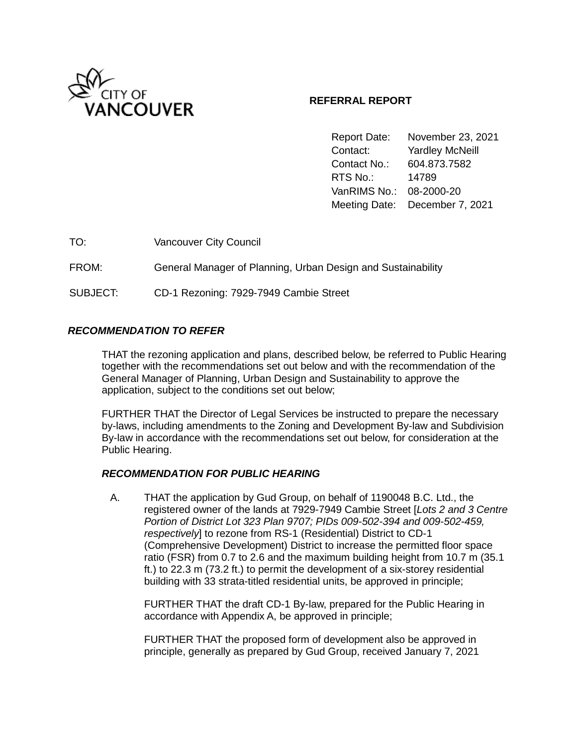

# **REFERRAL REPORT**

Report Date: November 23, 2021 Contact: Yardley McNeill Contact No.: 604.873.7582 RTS No.: 14789 VanRIMS No.: 08-2000-20 Meeting Date: December 7, 2021

TO: Vancouver City Council

FROM: General Manager of Planning, Urban Design and Sustainability

SUBJECT: CD-1 Rezoning: 7929-7949 Cambie Street

### *RECOMMENDATION TO REFER*

THAT the rezoning application and plans, described below, be referred to Public Hearing together with the recommendations set out below and with the recommendation of the General Manager of Planning, Urban Design and Sustainability to approve the application, subject to the conditions set out below;

FURTHER THAT the Director of Legal Services be instructed to prepare the necessary by-laws, including amendments to the Zoning and Development By-law and Subdivision By-law in accordance with the recommendations set out below, for consideration at the Public Hearing.

### *RECOMMENDATION FOR PUBLIC HEARING*

A. THAT the application by Gud Group, on behalf of 1190048 B.C. Ltd., the registered owner of the lands at 7929-7949 Cambie Street [*Lots 2 and 3 Centre Portion of District Lot 323 Plan 9707; PIDs 009-502-394 and 009-502-459, respectively*] to rezone from RS-1 (Residential) District to CD-1 (Comprehensive Development) District to increase the permitted floor space ratio (FSR) from 0.7 to 2.6 and the maximum building height from 10.7 m (35.1 ft.) to 22.3 m (73.2 ft.) to permit the development of a six-storey residential building with 33 strata-titled residential units, be approved in principle;

FURTHER THAT the draft CD-1 By-law, prepared for the Public Hearing in accordance with Appendix A, be approved in principle;

FURTHER THAT the proposed form of development also be approved in principle, generally as prepared by Gud Group, received January 7, 2021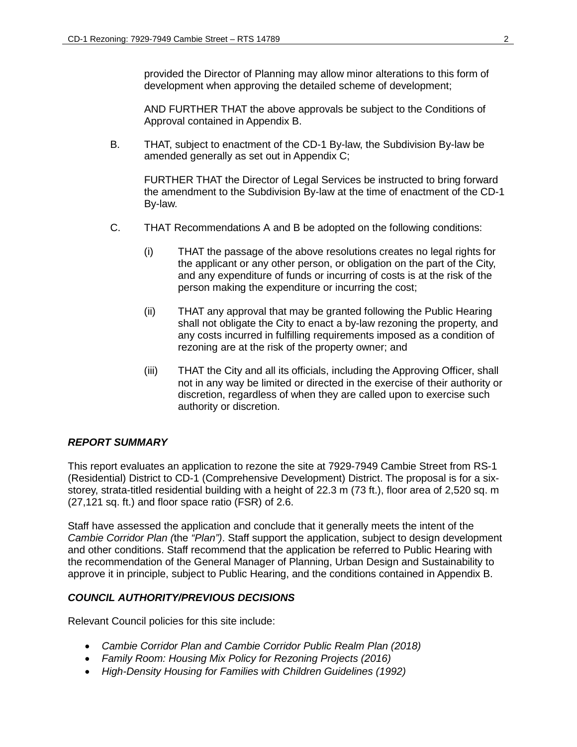provided the Director of Planning may allow minor alterations to this form of development when approving the detailed scheme of development;

AND FURTHER THAT the above approvals be subject to the Conditions of Approval contained in Appendix B.

B. THAT, subject to enactment of the CD-1 By-law, the Subdivision By-law be amended generally as set out in Appendix C;

FURTHER THAT the Director of Legal Services be instructed to bring forward the amendment to the Subdivision By-law at the time of enactment of the CD-1 By-law.

- C. THAT Recommendations A and B be adopted on the following conditions:
	- (i) THAT the passage of the above resolutions creates no legal rights for the applicant or any other person, or obligation on the part of the City, and any expenditure of funds or incurring of costs is at the risk of the person making the expenditure or incurring the cost;
	- (ii) THAT any approval that may be granted following the Public Hearing shall not obligate the City to enact a by-law rezoning the property, and any costs incurred in fulfilling requirements imposed as a condition of rezoning are at the risk of the property owner; and
	- (iii) THAT the City and all its officials, including the Approving Officer, shall not in any way be limited or directed in the exercise of their authority or discretion, regardless of when they are called upon to exercise such authority or discretion.

# *REPORT SUMMARY*

This report evaluates an application to rezone the site at 7929-7949 Cambie Street from RS-1 (Residential) District to CD-1 (Comprehensive Development) District. The proposal is for a sixstorey, strata-titled residential building with a height of 22.3 m (73 ft.), floor area of 2,520 sq. m (27,121 sq. ft.) and floor space ratio (FSR) of 2.6.

Staff have assessed the application and conclude that it generally meets the intent of the *Cambie Corridor Plan (*the *"Plan")*. Staff support the application, subject to design development and other conditions. Staff recommend that the application be referred to Public Hearing with the recommendation of the General Manager of Planning, Urban Design and Sustainability to approve it in principle, subject to Public Hearing, and the conditions contained in Appendix B.

### *COUNCIL AUTHORITY/PREVIOUS DECISIONS*

Relevant Council policies for this site include:

- *Cambie Corridor Plan and Cambie Corridor Public Realm Plan (2018)*
- *Family Room: Housing Mix Policy for Rezoning Projects (2016)*
- *High-Density Housing for Families with Children Guidelines (1992)*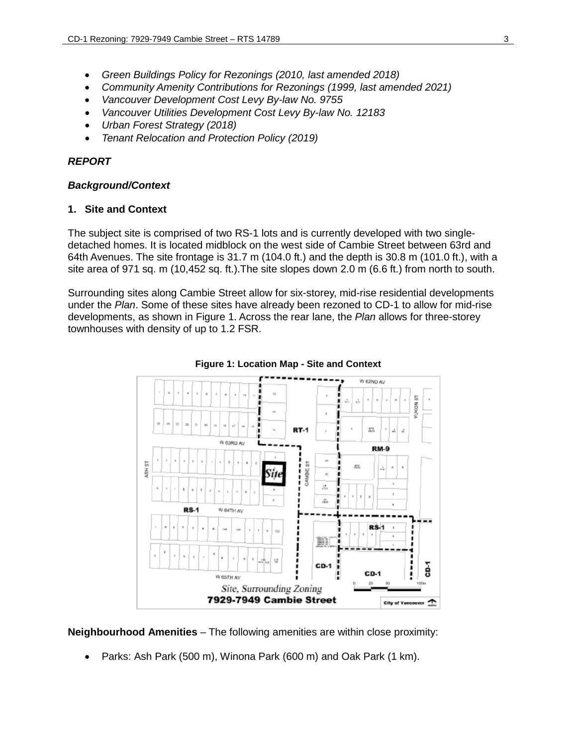- *Green Buildings Policy for Rezonings (2010, last amended 2018)*
- *Community Amenity Contributions for Rezonings (1999, last amended 2021)*
- *Vancouver Development Cost Levy By-law No. 9755*
- *Vancouver Utilities Development Cost Levy By-law No. 12183*
- *Urban Forest Strategy (2018)*
- *Tenant Relocation and Protection Policy (2019)*

### *REPORT*

#### *Background/Context*

### **1. Site and Context**

The subject site is comprised of two RS-1 lots and is currently developed with two singledetached homes. It is located midblock on the west side of Cambie Street between 63rd and 64th Avenues. The site frontage is 31.7 m (104.0 ft.) and the depth is 30.8 m (101.0 ft.), with a site area of 971 sq. m (10,452 sq. ft.).The site slopes down 2.0 m (6.6 ft.) from north to south.

Surrounding sites along Cambie Street allow for six-storey, mid-rise residential developments under the *Plan*. Some of these sites have already been rezoned to CD-1 to allow for mid-rise developments, as shown in Figure 1. Across the rear lane, the *Plan* allows for three-storey townhouses with density of up to 1.2 FSR.



**Figure 1: Location Map - Site and Context**

**Neighbourhood Amenities** – The following amenities are within close proximity:

• Parks: Ash Park (500 m), Winona Park (600 m) and Oak Park (1 km).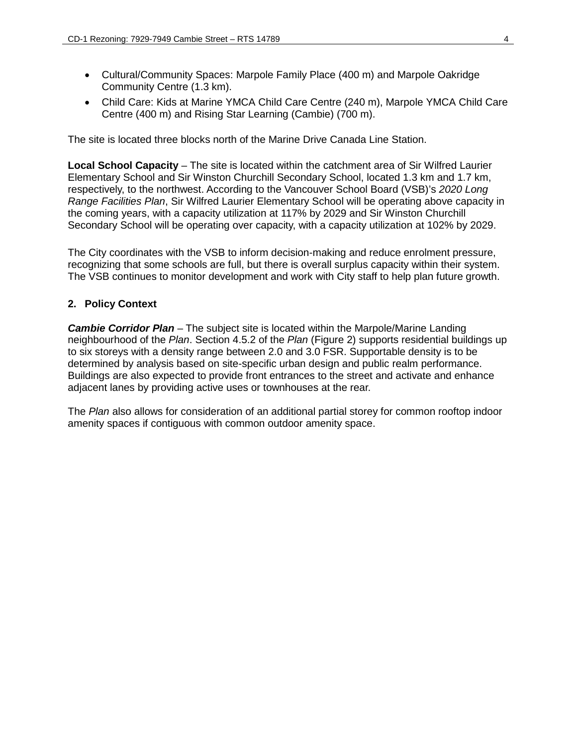- Cultural/Community Spaces: Marpole Family Place (400 m) and Marpole Oakridge Community Centre (1.3 km).
- Child Care: Kids at Marine YMCA Child Care Centre (240 m), Marpole YMCA Child Care Centre (400 m) and Rising Star Learning (Cambie) (700 m).

The site is located three blocks north of the Marine Drive Canada Line Station.

**Local School Capacity** – The site is located within the catchment area of Sir Wilfred Laurier Elementary School and Sir Winston Churchill Secondary School, located 1.3 km and 1.7 km, respectively, to the northwest. According to the Vancouver School Board (VSB)'s *2020 Long Range Facilities Plan*, Sir Wilfred Laurier Elementary School will be operating above capacity in the coming years, with a capacity utilization at 117% by 2029 and Sir Winston Churchill Secondary School will be operating over capacity, with a capacity utilization at 102% by 2029.

The City coordinates with the VSB to inform decision-making and reduce enrolment pressure, recognizing that some schools are full, but there is overall surplus capacity within their system. The VSB continues to monitor development and work with City staff to help plan future growth.

### **2. Policy Context**

*Cambie Corridor Plan* – The subject site is located within the Marpole/Marine Landing neighbourhood of the *Plan*. Section 4.5.2 of the *Plan* (Figure 2) supports residential buildings up to six storeys with a density range between 2.0 and 3.0 FSR. Supportable density is to be determined by analysis based on site-specific urban design and public realm performance. Buildings are also expected to provide front entrances to the street and activate and enhance adjacent lanes by providing active uses or townhouses at the rear.

The *Plan* also allows for consideration of an additional partial storey for common rooftop indoor amenity spaces if contiguous with common outdoor amenity space.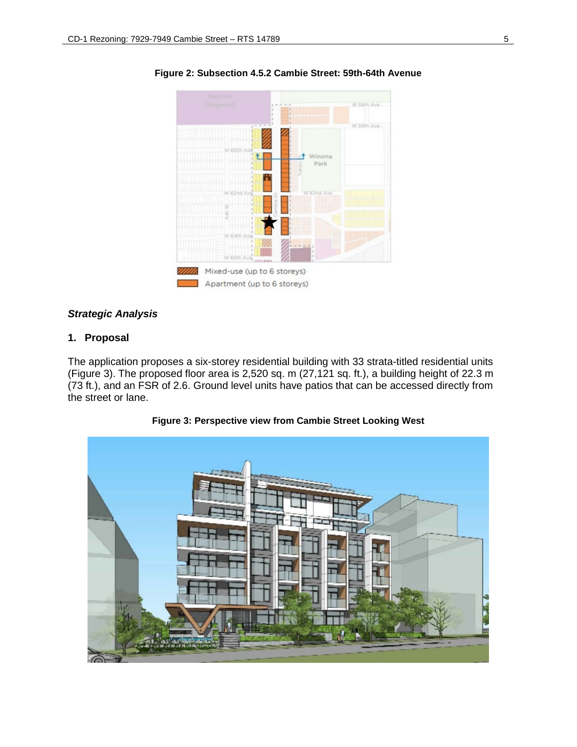

**Figure 2: Subsection 4.5.2 Cambie Street: 59th-64th Avenue**

#### *Strategic Analysis*

# **1. Proposal**

The application proposes a six-storey residential building with 33 strata-titled residential units (Figure 3). The proposed floor area is 2,520 sq. m (27,121 sq. ft.), a building height of 22.3 m (73 ft.), and an FSR of 2.6. Ground level units have patios that can be accessed directly from the street or lane.



**Figure 3: Perspective view from Cambie Street Looking West**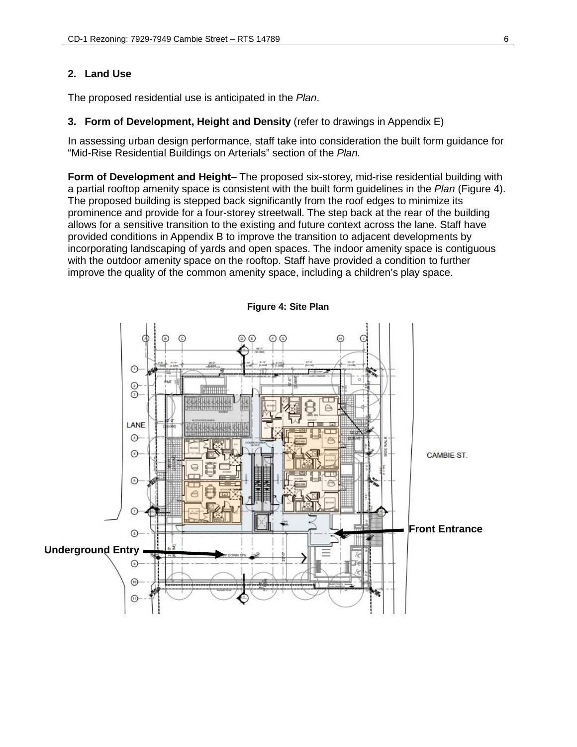# **2. Land Use**

The proposed residential use is anticipated in the *Plan*.

#### **3. Form of Development, Height and Density** (refer to drawings in Appendix E)

In assessing urban design performance, staff take into consideration the built form guidance for "Mid-Rise Residential Buildings on Arterials" section of the *Plan.* 

**Form of Development and Height**– The proposed six-storey, mid-rise residential building with a partial rooftop amenity space is consistent with the built form guidelines in the *Plan* (Figure 4). The proposed building is stepped back significantly from the roof edges to minimize its prominence and provide for a four-storey streetwall. The step back at the rear of the building allows for a sensitive transition to the existing and future context across the lane. Staff have provided conditions in Appendix B to improve the transition to adjacent developments by incorporating landscaping of yards and open spaces. The indoor amenity space is contiguous with the outdoor amenity space on the rooftop. Staff have provided a condition to further improve the quality of the common amenity space, including a children's play space.



**Figure 4: Site Plan**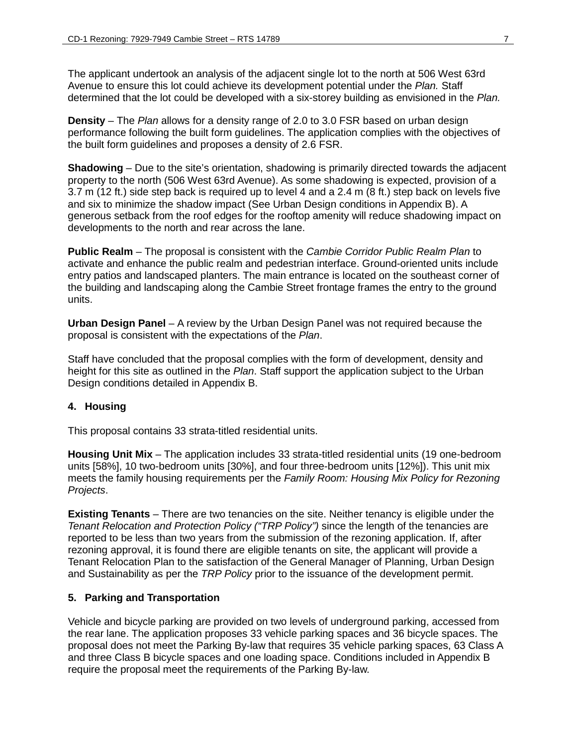The applicant undertook an analysis of the adjacent single lot to the north at 506 West 63rd Avenue to ensure this lot could achieve its development potential under the *Plan.* Staff determined that the lot could be developed with a six-storey building as envisioned in the *Plan.* 

**Density** – The *Plan* allows for a density range of 2.0 to 3.0 FSR based on urban design performance following the built form guidelines. The application complies with the objectives of the built form guidelines and proposes a density of 2.6 FSR.

**Shadowing** – Due to the site's orientation, shadowing is primarily directed towards the adjacent property to the north (506 West 63rd Avenue). As some shadowing is expected, provision of a 3.7 m (12 ft.) side step back is required up to level 4 and a 2.4 m (8 ft.) step back on levels five and six to minimize the shadow impact (See Urban Design conditions in Appendix B). A generous setback from the roof edges for the rooftop amenity will reduce shadowing impact on developments to the north and rear across the lane.

**Public Realm** – The proposal is consistent with the *Cambie Corridor Public Realm Plan* to activate and enhance the public realm and pedestrian interface. Ground-oriented units include entry patios and landscaped planters. The main entrance is located on the southeast corner of the building and landscaping along the Cambie Street frontage frames the entry to the ground units.

**Urban Design Panel** – A review by the Urban Design Panel was not required because the proposal is consistent with the expectations of the *Plan*.

Staff have concluded that the proposal complies with the form of development, density and height for this site as outlined in the *Plan*. Staff support the application subject to the Urban Design conditions detailed in Appendix B.

### **4. Housing**

This proposal contains 33 strata-titled residential units.

**Housing Unit Mix** – The application includes 33 strata-titled residential units (19 one-bedroom units [58%], 10 two-bedroom units [30%], and four three-bedroom units [12%]). This unit mix meets the family housing requirements per the *Family Room: Housing Mix Policy for Rezoning Projects*.

**Existing Tenants** – There are two tenancies on the site. Neither tenancy is eligible under the *Tenant Relocation and Protection Policy ("TRP Policy")* since the length of the tenancies are reported to be less than two years from the submission of the rezoning application. If, after rezoning approval, it is found there are eligible tenants on site, the applicant will provide a Tenant Relocation Plan to the satisfaction of the General Manager of Planning, Urban Design and Sustainability as per the *TRP Policy* prior to the issuance of the development permit.

### **5. Parking and Transportation**

Vehicle and bicycle parking are provided on two levels of underground parking, accessed from the rear lane. The application proposes 33 vehicle parking spaces and 36 bicycle spaces. The proposal does not meet the Parking By-law that requires 35 vehicle parking spaces, 63 Class A and three Class B bicycle spaces and one loading space. Conditions included in Appendix B require the proposal meet the requirements of the Parking By-law.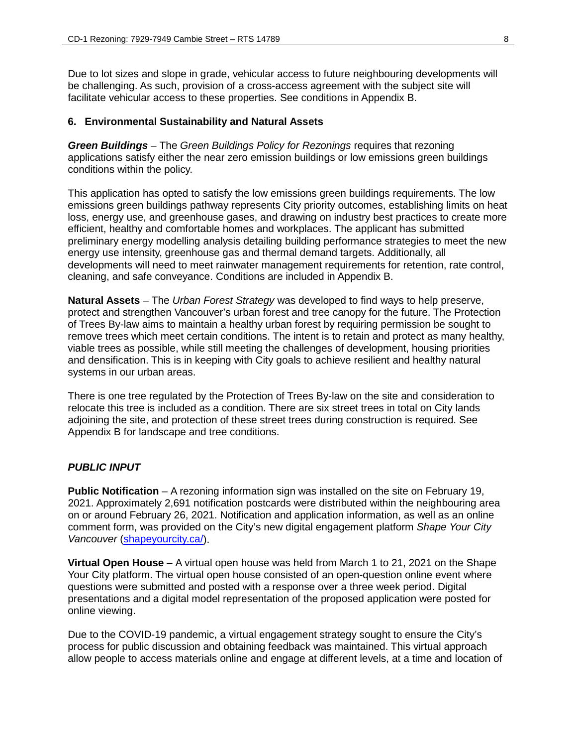Due to lot sizes and slope in grade, vehicular access to future neighbouring developments will be challenging. As such, provision of a cross-access agreement with the subject site will facilitate vehicular access to these properties. See conditions in Appendix B.

#### **6. Environmental Sustainability and Natural Assets**

*Green Buildings –* The *Green Buildings Policy for Rezonings* requires that rezoning applications satisfy either the near zero emission buildings or low emissions green buildings conditions within the policy.

This application has opted to satisfy the low emissions green buildings requirements. The low emissions green buildings pathway represents City priority outcomes, establishing limits on heat loss, energy use, and greenhouse gases, and drawing on industry best practices to create more efficient, healthy and comfortable homes and workplaces. The applicant has submitted preliminary energy modelling analysis detailing building performance strategies to meet the new energy use intensity, greenhouse gas and thermal demand targets. Additionally, all developments will need to meet rainwater management requirements for retention, rate control, cleaning, and safe conveyance. Conditions are included in Appendix B.

**Natural Assets** – The *Urban Forest Strategy* was developed to find ways to help preserve, protect and strengthen Vancouver's urban forest and tree canopy for the future. The Protection of Trees By-law aims to maintain a healthy urban forest by requiring permission be sought to remove trees which meet certain conditions. The intent is to retain and protect as many healthy, viable trees as possible, while still meeting the challenges of development, housing priorities and densification. This is in keeping with City goals to achieve resilient and healthy natural systems in our urban areas.

There is one tree regulated by the Protection of Trees By-law on the site and consideration to relocate this tree is included as a condition. There are six street trees in total on City lands adjoining the site, and protection of these street trees during construction is required. See Appendix B for landscape and tree conditions.

#### *PUBLIC INPUT*

**Public Notification** – A rezoning information sign was installed on the site on February 19, 2021. Approximately 2,691 notification postcards were distributed within the neighbouring area on or around February 26, 2021. Notification and application information, as well as an online comment form, was provided on the City's new digital engagement platform *Shape Your City Vancouver* (shapeyourcity.ca/).

**Virtual Open House** – A virtual open house was held from March 1 to 21, 2021 on the Shape Your City platform. The virtual open house consisted of an open-question online event where questions were submitted and posted with a response over a three week period. Digital presentations and a digital model representation of the proposed application were posted for online viewing.

Due to the COVID-19 pandemic, a virtual engagement strategy sought to ensure the City's process for public discussion and obtaining feedback was maintained. This virtual approach allow people to access materials online and engage at different levels, at a time and location of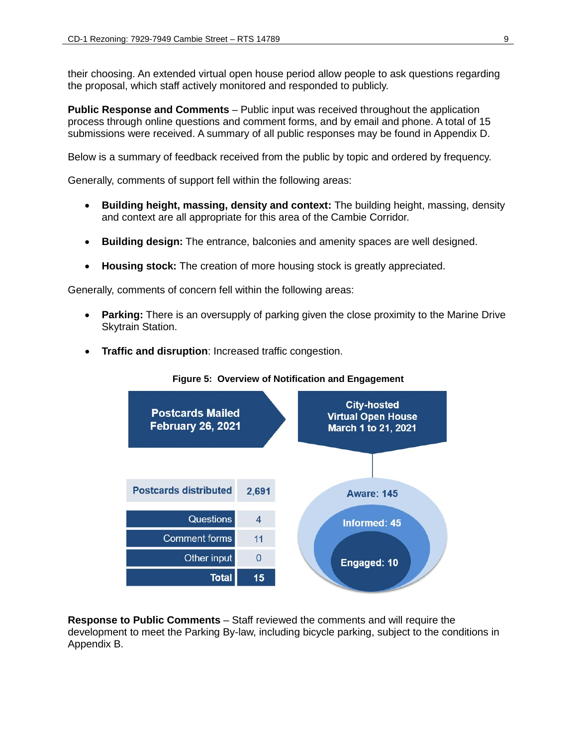their choosing. An extended virtual open house period allow people to ask questions regarding the proposal, which staff actively monitored and responded to publicly.

**Public Response and Comments** – Public input was received throughout the application process through online questions and comment forms, and by email and phone. A total of 15 submissions were received. A summary of all public responses may be found in Appendix D.

Below is a summary of feedback received from the public by topic and ordered by frequency.

Generally, comments of support fell within the following areas:

- **Building height, massing, density and context:** The building height, massing, density and context are all appropriate for this area of the Cambie Corridor.
- **Building design:** The entrance, balconies and amenity spaces are well designed.
- **Housing stock:** The creation of more housing stock is greatly appreciated.

Generally, comments of concern fell within the following areas:

- **Parking:** There is an oversupply of parking given the close proximity to the Marine Drive Skytrain Station.
- **Traffic and disruption**: Increased traffic congestion.

**City-hosted Postcards Mailed Virtual Open House February 26, 2021 March 1 to 21, 2021 Postcards distributed** 2.691 **Aware: 145** Questions  $\overline{\mathbf{4}}$ **Informed: 45** Comment forms  $11$ Other input  $\overline{0}$ Engaged: 10 **Total**  $15$ 

**Figure 5: Overview of Notification and Engagement**

**Response to Public Comments** – Staff reviewed the comments and will require the development to meet the Parking By-law, including bicycle parking, subject to the conditions in Appendix B.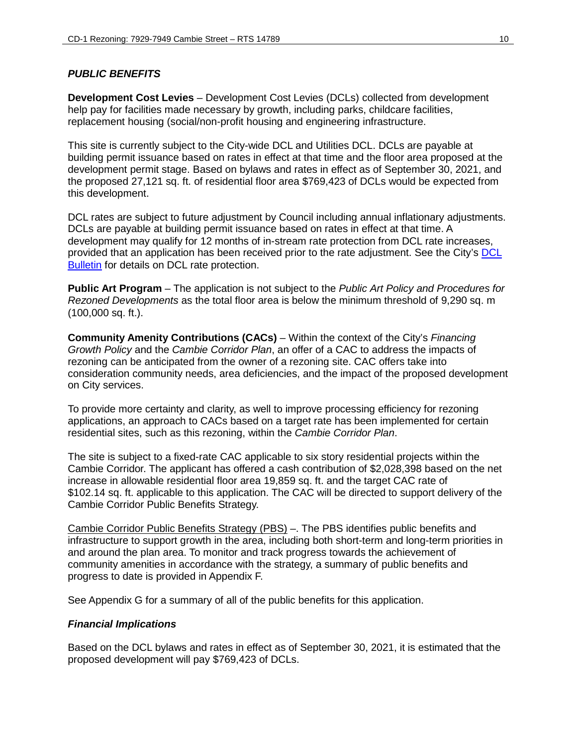# *PUBLIC BENEFITS*

**Development Cost Levies** – Development Cost Levies (DCLs) collected from development help pay for facilities made necessary by growth, including parks, childcare facilities, replacement housing (social/non-profit housing and engineering infrastructure.

This site is currently subject to the City-wide DCL and Utilities DCL. DCLs are payable at building permit issuance based on rates in effect at that time and the floor area proposed at the development permit stage. Based on bylaws and rates in effect as of September 30, 2021, and the proposed 27,121 sq. ft. of residential floor area \$769,423 of DCLs would be expected from this development.

DCL rates are subject to future adjustment by Council including annual inflationary adjustments. DCLs are payable at building permit issuance based on rates in effect at that time. A development may qualify for 12 months of in-stream rate protection from DCL rate increases, provided that an application has been received prior to the rate adjustment. See the City's [DCL](http://vancouver.ca/files/cov/Development-Cost-Levies-Bulletin.pdf)  [Bulletin](http://vancouver.ca/files/cov/Development-Cost-Levies-Bulletin.pdf) for details on DCL rate protection.

**Public Art Program** – The application is not subject to the *Public Art Policy and Procedures for Rezoned Developments* as the total floor area is below the minimum threshold of 9,290 sq. m (100,000 sq. ft.).

**Community Amenity Contributions (CACs)** – Within the context of the City's *Financing Growth Policy* and the *Cambie Corridor Plan*, an offer of a CAC to address the impacts of rezoning can be anticipated from the owner of a rezoning site. CAC offers take into consideration community needs, area deficiencies, and the impact of the proposed development on City services.

To provide more certainty and clarity, as well to improve processing efficiency for rezoning applications, an approach to CACs based on a target rate has been implemented for certain residential sites, such as this rezoning, within the *Cambie Corridor Plan*.

The site is subject to a fixed-rate CAC applicable to six story residential projects within the Cambie Corridor. The applicant has offered a cash contribution of \$2,028,398 based on the net increase in allowable residential floor area 19,859 sq. ft. and the target CAC rate of \$102.14 sq. ft. applicable to this application. The CAC will be directed to support delivery of the Cambie Corridor Public Benefits Strategy.

Cambie Corridor Public Benefits Strategy (PBS) –. The PBS identifies public benefits and infrastructure to support growth in the area, including both short-term and long-term priorities in and around the plan area. To monitor and track progress towards the achievement of community amenities in accordance with the strategy, a summary of public benefits and progress to date is provided in Appendix F.

See Appendix G for a summary of all of the public benefits for this application.

### *Financial Implications*

Based on the DCL bylaws and rates in effect as of September 30, 2021, it is estimated that the proposed development will pay \$769,423 of DCLs.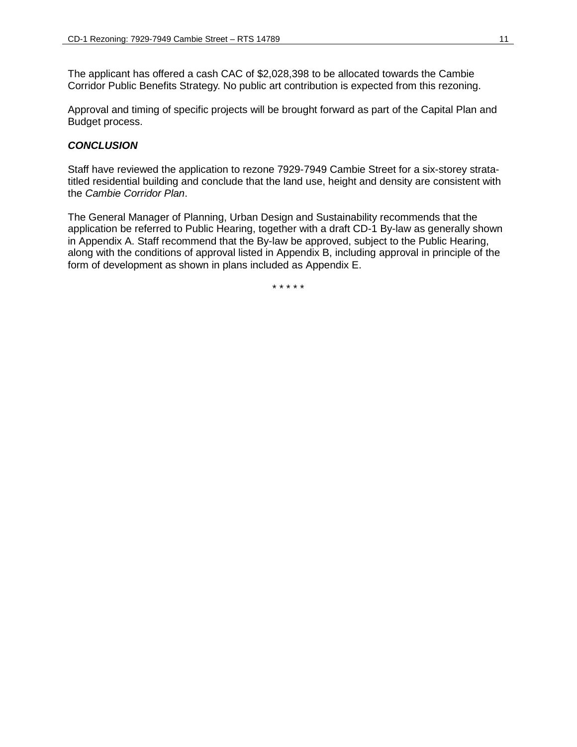The applicant has offered a cash CAC of \$2,028,398 to be allocated towards the Cambie Corridor Public Benefits Strategy. No public art contribution is expected from this rezoning.

Approval and timing of specific projects will be brought forward as part of the Capital Plan and Budget process.

# *CONCLUSION*

Staff have reviewed the application to rezone 7929-7949 Cambie Street for a six-storey stratatitled residential building and conclude that the land use, height and density are consistent with the *Cambie Corridor Plan*.

The General Manager of Planning, Urban Design and Sustainability recommends that the application be referred to Public Hearing, together with a draft CD-1 By-law as generally shown in Appendix A. Staff recommend that the By-law be approved, subject to the Public Hearing, along with the conditions of approval listed in Appendix B, including approval in principle of the form of development as shown in plans included as Appendix E.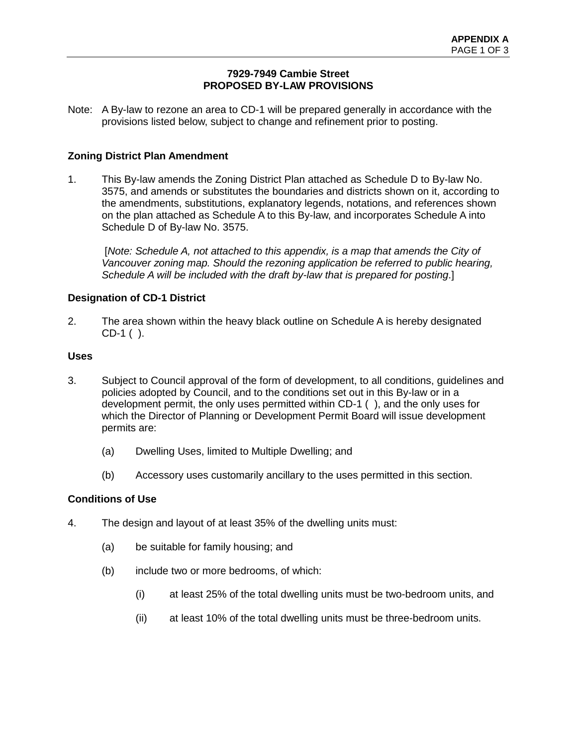# **7929-7949 Cambie Street PROPOSED BY-LAW PROVISIONS**

Note: A By-law to rezone an area to CD-1 will be prepared generally in accordance with the provisions listed below, subject to change and refinement prior to posting.

# **Zoning District Plan Amendment**

1. This By-law amends the Zoning District Plan attached as Schedule D to By-law No. 3575, and amends or substitutes the boundaries and districts shown on it, according to the amendments, substitutions, explanatory legends, notations, and references shown on the plan attached as Schedule A to this By-law, and incorporates Schedule A into Schedule D of By-law No. 3575.

 [*Note: Schedule A, not attached to this appendix, is a map that amends the City of*  Vancouver zoning map. Should the rezoning application be referred to public hearing, *Schedule A will be included with the draft by-law that is prepared for posting*.]

# **Designation of CD-1 District**

2. The area shown within the heavy black outline on Schedule A is hereby designated CD-1 ( ).

### **Uses**

- 3. Subject to Council approval of the form of development, to all conditions, guidelines and policies adopted by Council, and to the conditions set out in this By-law or in a development permit, the only uses permitted within CD-1 ( ), and the only uses for which the Director of Planning or Development Permit Board will issue development permits are:
	- (a) Dwelling Uses, limited to Multiple Dwelling; and
	- (b) Accessory uses customarily ancillary to the uses permitted in this section.

### **Conditions of Use**

- 4. The design and layout of at least 35% of the dwelling units must:
	- (a) be suitable for family housing; and
	- (b) include two or more bedrooms, of which:
		- (i) at least 25% of the total dwelling units must be two-bedroom units, and
		- (ii) at least 10% of the total dwelling units must be three-bedroom units.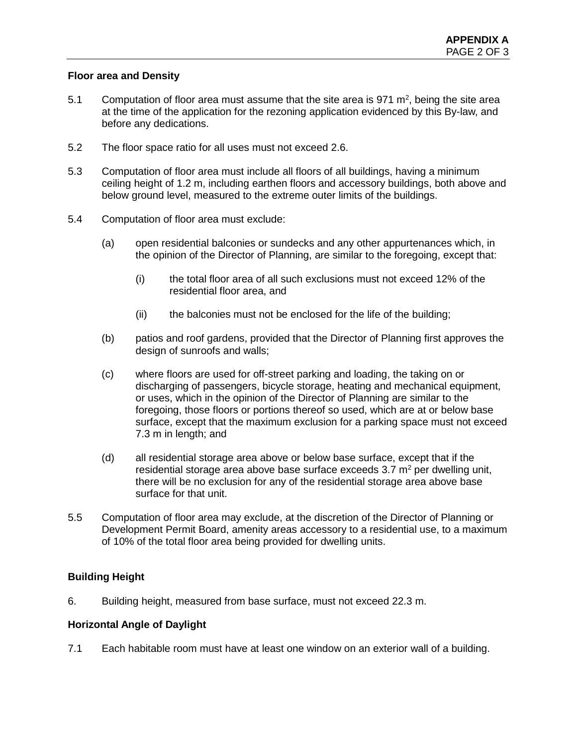# **Floor area and Density**

- 5.1 Computation of floor area must assume that the site area is 971  $m^2$ , being the site area at the time of the application for the rezoning application evidenced by this By-law, and before any dedications.
- 5.2 The floor space ratio for all uses must not exceed 2.6.
- 5.3 Computation of floor area must include all floors of all buildings, having a minimum ceiling height of 1.2 m, including earthen floors and accessory buildings, both above and below ground level, measured to the extreme outer limits of the buildings.
- 5.4 Computation of floor area must exclude:
	- (a) open residential balconies or sundecks and any other appurtenances which, in the opinion of the Director of Planning, are similar to the foregoing, except that:
		- (i) the total floor area of all such exclusions must not exceed 12% of the residential floor area, and
		- (ii) the balconies must not be enclosed for the life of the building;
	- (b) patios and roof gardens, provided that the Director of Planning first approves the design of sunroofs and walls;
	- (c) where floors are used for off-street parking and loading, the taking on or discharging of passengers, bicycle storage, heating and mechanical equipment, or uses, which in the opinion of the Director of Planning are similar to the foregoing, those floors or portions thereof so used, which are at or below base surface, except that the maximum exclusion for a parking space must not exceed 7.3 m in length; and
	- (d) all residential storage area above or below base surface, except that if the residential storage area above base surface exceeds  $3.7 \text{ m}^2$  per dwelling unit, there will be no exclusion for any of the residential storage area above base surface for that unit.
- 5.5 Computation of floor area may exclude, at the discretion of the Director of Planning or Development Permit Board, amenity areas accessory to a residential use, to a maximum of 10% of the total floor area being provided for dwelling units.

# **Building Height**

6. Building height, measured from base surface, must not exceed 22.3 m.

# **Horizontal Angle of Daylight**

7.1 Each habitable room must have at least one window on an exterior wall of a building.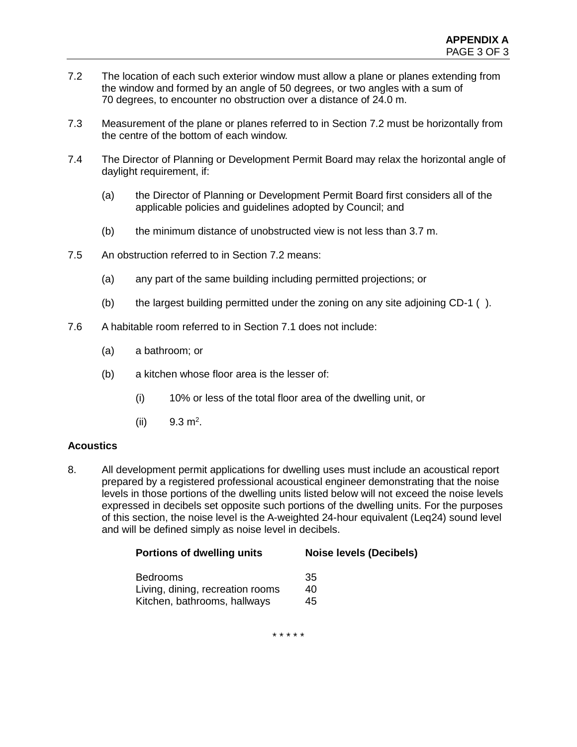- 7.2 The location of each such exterior window must allow a plane or planes extending from the window and formed by an angle of 50 degrees, or two angles with a sum of 70 degrees, to encounter no obstruction over a distance of 24.0 m.
- 7.3 Measurement of the plane or planes referred to in Section 7.2 must be horizontally from the centre of the bottom of each window.
- 7.4 The Director of Planning or Development Permit Board may relax the horizontal angle of daylight requirement, if:
	- (a) the Director of Planning or Development Permit Board first considers all of the applicable policies and guidelines adopted by Council; and
	- (b) the minimum distance of unobstructed view is not less than 3.7 m.
- 7.5 An obstruction referred to in Section 7.2 means:
	- (a) any part of the same building including permitted projections; or
	- (b) the largest building permitted under the zoning on any site adjoining CD-1 ( ).
- 7.6 A habitable room referred to in Section 7.1 does not include:
	- (a) a bathroom; or
	- (b) a kitchen whose floor area is the lesser of:
		- (i) 10% or less of the total floor area of the dwelling unit, or
		- $(ii)$  9.3 m<sup>2</sup>.

### **Acoustics**

8. All development permit applications for dwelling uses must include an acoustical report prepared by a registered professional acoustical engineer demonstrating that the noise levels in those portions of the dwelling units listed below will not exceed the noise levels expressed in decibels set opposite such portions of the dwelling units. For the purposes of this section, the noise level is the A-weighted 24-hour equivalent (Leq24) sound level and will be defined simply as noise level in decibels.

| <b>Portions of dwelling units</b> | <b>Noise levels (Decibels)</b> |
|-----------------------------------|--------------------------------|
| <b>Bedrooms</b>                   | 35                             |
| Living, dining, recreation rooms  | 40                             |
| Kitchen, bathrooms, hallways      | 45                             |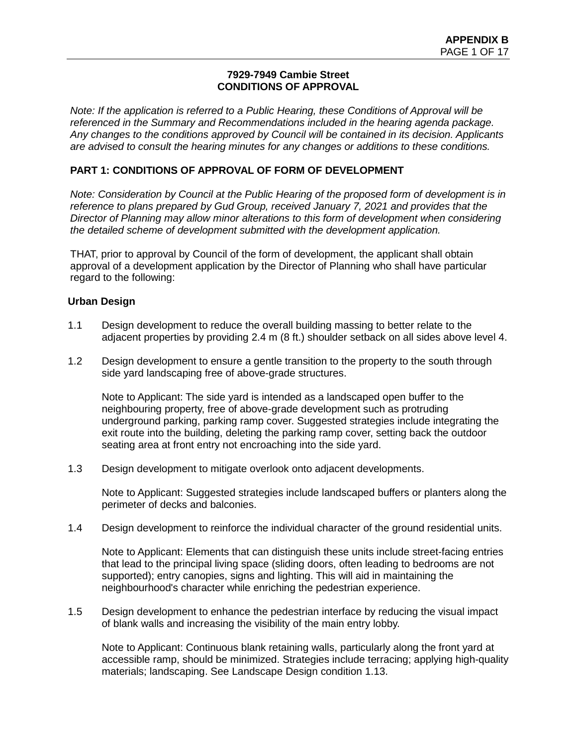### **7929-7949 Cambie Street CONDITIONS OF APPROVAL**

*Note: If the application is referred to a Public Hearing, these Conditions of Approval will be referenced in the Summary and Recommendations included in the hearing agenda package. Any changes to the conditions approved by Council will be contained in its decision. Applicants are advised to consult the hearing minutes for any changes or additions to these conditions.*

# **PART 1: CONDITIONS OF APPROVAL OF FORM OF DEVELOPMENT**

*Note: Consideration by Council at the Public Hearing of the proposed form of development is in reference to plans prepared by Gud Group, received January 7, 2021 and provides that the Director of Planning may allow minor alterations to this form of development when considering the detailed scheme of development submitted with the development application.* 

THAT, prior to approval by Council of the form of development, the applicant shall obtain approval of a development application by the Director of Planning who shall have particular regard to the following:

# **Urban Design**

- 1.1 Design development to reduce the overall building massing to better relate to the adjacent properties by providing 2.4 m (8 ft.) shoulder setback on all sides above level 4.
- 1.2 Design development to ensure a gentle transition to the property to the south through side yard landscaping free of above-grade structures.

Note to Applicant: The side yard is intended as a landscaped open buffer to the neighbouring property, free of above-grade development such as protruding underground parking, parking ramp cover. Suggested strategies include integrating the exit route into the building, deleting the parking ramp cover, setting back the outdoor seating area at front entry not encroaching into the side yard.

1.3 Design development to mitigate overlook onto adjacent developments.

Note to Applicant: Suggested strategies include landscaped buffers or planters along the perimeter of decks and balconies.

1.4 Design development to reinforce the individual character of the ground residential units.

Note to Applicant: Elements that can distinguish these units include street-facing entries that lead to the principal living space (sliding doors, often leading to bedrooms are not supported); entry canopies, signs and lighting. This will aid in maintaining the neighbourhood's character while enriching the pedestrian experience.

1.5 Design development to enhance the pedestrian interface by reducing the visual impact of blank walls and increasing the visibility of the main entry lobby.

Note to Applicant: Continuous blank retaining walls, particularly along the front yard at accessible ramp, should be minimized. Strategies include terracing; applying high-quality materials; landscaping. See Landscape Design condition 1.13.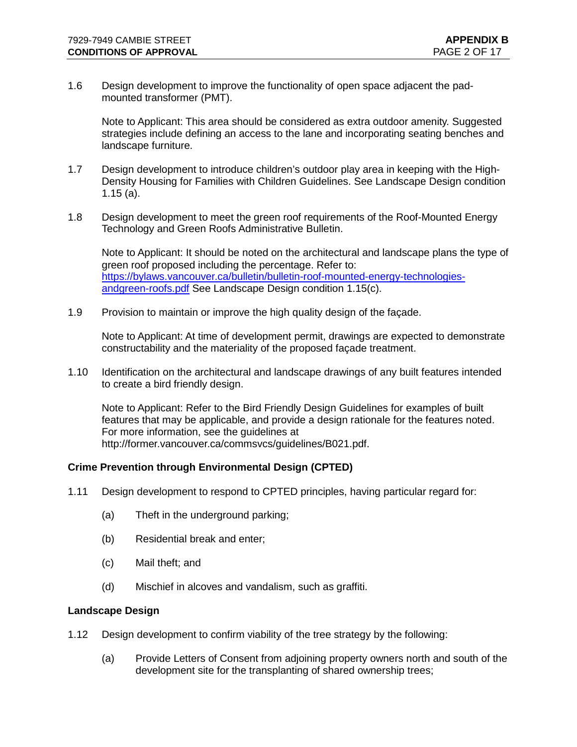1.6 Design development to improve the functionality of open space adjacent the padmounted transformer (PMT).

Note to Applicant: This area should be considered as extra outdoor amenity. Suggested strategies include defining an access to the lane and incorporating seating benches and landscape furniture.

- 1.7 Design development to introduce children's outdoor play area in keeping with the High-Density Housing for Families with Children Guidelines. See Landscape Design condition 1.15 (a).
- 1.8 Design development to meet the green roof requirements of the Roof-Mounted Energy Technology and Green Roofs Administrative Bulletin.

Note to Applicant: It should be noted on the architectural and landscape plans the type of green roof proposed including the percentage. Refer to: [https://bylaws.vancouver.ca/bulletin/bulletin-roof-mounted-energy-technologies](https://bylaws.vancouver.ca/bulletin/bulletin-roof-mounted-energy-technologies-andgreen-roofs.pdf)[andgreen-roofs.pdf](https://bylaws.vancouver.ca/bulletin/bulletin-roof-mounted-energy-technologies-andgreen-roofs.pdf) See Landscape Design condition 1.15(c).

1.9 Provision to maintain or improve the high quality design of the façade.

Note to Applicant: At time of development permit, drawings are expected to demonstrate constructability and the materiality of the proposed façade treatment.

1.10 Identification on the architectural and landscape drawings of any built features intended to create a bird friendly design.

Note to Applicant: Refer to the Bird Friendly Design Guidelines for examples of built features that may be applicable, and provide a design rationale for the features noted. For more information, see the guidelines at http://former.vancouver.ca/commsvcs/guidelines/B021.pdf.

### **Crime Prevention through Environmental Design (CPTED)**

- 1.11 Design development to respond to CPTED principles, having particular regard for:
	- (a) Theft in the underground parking;
	- (b) Residential break and enter;
	- (c) Mail theft; and
	- (d) Mischief in alcoves and vandalism, such as graffiti.

#### **Landscape Design**

- 1.12 Design development to confirm viability of the tree strategy by the following:
	- (a) Provide Letters of Consent from adjoining property owners north and south of the development site for the transplanting of shared ownership trees;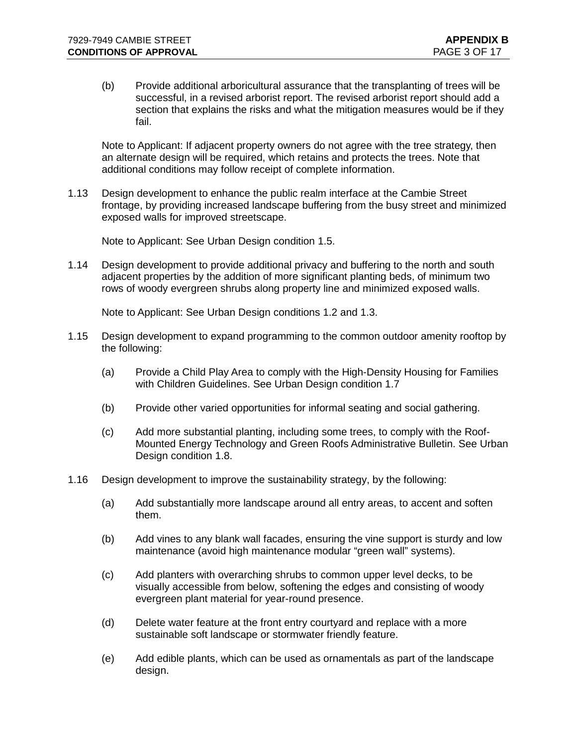(b) Provide additional arboricultural assurance that the transplanting of trees will be successful, in a revised arborist report. The revised arborist report should add a section that explains the risks and what the mitigation measures would be if they fail.

Note to Applicant: If adjacent property owners do not agree with the tree strategy, then an alternate design will be required, which retains and protects the trees. Note that additional conditions may follow receipt of complete information.

1.13 Design development to enhance the public realm interface at the Cambie Street frontage, by providing increased landscape buffering from the busy street and minimized exposed walls for improved streetscape.

Note to Applicant: See Urban Design condition 1.5.

1.14 Design development to provide additional privacy and buffering to the north and south adjacent properties by the addition of more significant planting beds, of minimum two rows of woody evergreen shrubs along property line and minimized exposed walls.

Note to Applicant: See Urban Design conditions 1.2 and 1.3.

- 1.15 Design development to expand programming to the common outdoor amenity rooftop by the following:
	- (a) Provide a Child Play Area to comply with the High-Density Housing for Families with Children Guidelines. See Urban Design condition 1.7
	- (b) Provide other varied opportunities for informal seating and social gathering.
	- (c) Add more substantial planting, including some trees, to comply with the Roof-Mounted Energy Technology and Green Roofs Administrative Bulletin. See Urban Design condition 1.8.
- 1.16 Design development to improve the sustainability strategy, by the following:
	- (a) Add substantially more landscape around all entry areas, to accent and soften them.
	- (b) Add vines to any blank wall facades, ensuring the vine support is sturdy and low maintenance (avoid high maintenance modular "green wall" systems).
	- (c) Add planters with overarching shrubs to common upper level decks, to be visually accessible from below, softening the edges and consisting of woody evergreen plant material for year-round presence.
	- (d) Delete water feature at the front entry courtyard and replace with a more sustainable soft landscape or stormwater friendly feature.
	- (e) Add edible plants, which can be used as ornamentals as part of the landscape design.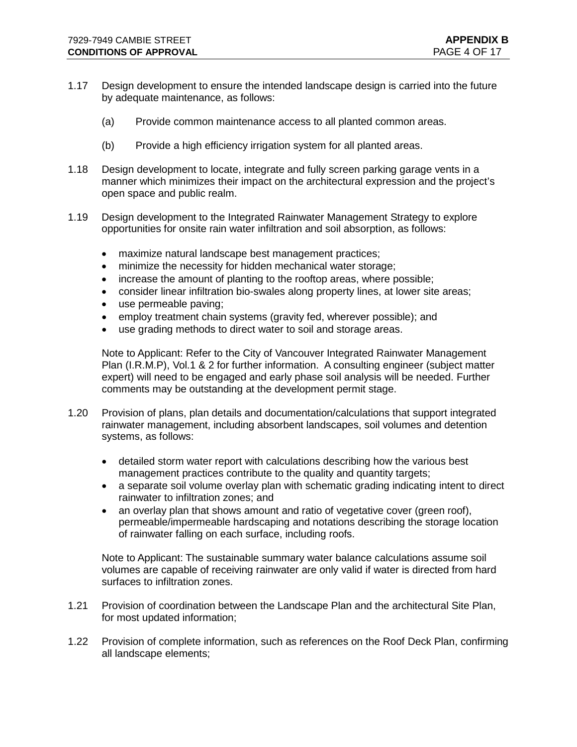- 1.17 Design development to ensure the intended landscape design is carried into the future by adequate maintenance, as follows:
	- (a) Provide common maintenance access to all planted common areas.
	- (b) Provide a high efficiency irrigation system for all planted areas.
- 1.18 Design development to locate, integrate and fully screen parking garage vents in a manner which minimizes their impact on the architectural expression and the project's open space and public realm.
- 1.19 Design development to the Integrated Rainwater Management Strategy to explore opportunities for onsite rain water infiltration and soil absorption, as follows:
	- maximize natural landscape best management practices;
	- minimize the necessity for hidden mechanical water storage;
	- increase the amount of planting to the rooftop areas, where possible;
	- consider linear infiltration bio-swales along property lines, at lower site areas;
	- use permeable paving;
	- employ treatment chain systems (gravity fed, wherever possible); and
	- use grading methods to direct water to soil and storage areas.

Note to Applicant: Refer to the City of Vancouver Integrated Rainwater Management Plan (I.R.M.P), Vol.1 & 2 for further information. A consulting engineer (subject matter expert) will need to be engaged and early phase soil analysis will be needed. Further comments may be outstanding at the development permit stage.

- 1.20 Provision of plans, plan details and documentation/calculations that support integrated rainwater management, including absorbent landscapes, soil volumes and detention systems, as follows:
	- detailed storm water report with calculations describing how the various best management practices contribute to the quality and quantity targets;
	- a separate soil volume overlay plan with schematic grading indicating intent to direct rainwater to infiltration zones; and
	- an overlay plan that shows amount and ratio of vegetative cover (green roof), permeable/impermeable hardscaping and notations describing the storage location of rainwater falling on each surface, including roofs.

Note to Applicant: The sustainable summary water balance calculations assume soil volumes are capable of receiving rainwater are only valid if water is directed from hard surfaces to infiltration zones.

- 1.21 Provision of coordination between the Landscape Plan and the architectural Site Plan, for most updated information;
- 1.22 Provision of complete information, such as references on the Roof Deck Plan, confirming all landscape elements;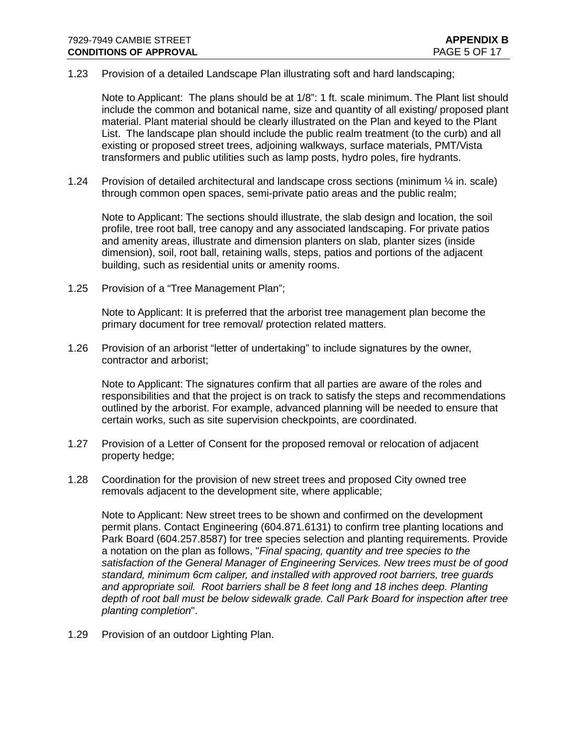#### 1.23 Provision of a detailed Landscape Plan illustrating soft and hard landscaping;

Note to Applicant:The plans should be at 1/8": 1 ft. scale minimum. The Plant list should include the common and botanical name, size and quantity of all existing/ proposed plant material. Plant material should be clearly illustrated on the Plan and keyed to the Plant List. The landscape plan should include the public realm treatment (to the curb) and all existing or proposed street trees, adjoining walkways, surface materials, PMT/Vista transformers and public utilities such as lamp posts, hydro poles, fire hydrants.

1.24 Provision of detailed architectural and landscape cross sections (minimum  $\frac{1}{4}$  in. scale) through common open spaces, semi-private patio areas and the public realm;

Note to Applicant: The sections should illustrate, the slab design and location, the soil profile, tree root ball, tree canopy and any associated landscaping. For private patios and amenity areas, illustrate and dimension planters on slab, planter sizes (inside dimension), soil, root ball, retaining walls, steps, patios and portions of the adjacent building, such as residential units or amenity rooms.

1.25 Provision of a "Tree Management Plan";

Note to Applicant: It is preferred that the arborist tree management plan become the primary document for tree removal/ protection related matters.

1.26 Provision of an arborist "letter of undertaking" to include signatures by the owner, contractor and arborist;

Note to Applicant: The signatures confirm that all parties are aware of the roles and responsibilities and that the project is on track to satisfy the steps and recommendations outlined by the arborist. For example, advanced planning will be needed to ensure that certain works, such as site supervision checkpoints, are coordinated.

- 1.27 Provision of a Letter of Consent for the proposed removal or relocation of adjacent property hedge;
- 1.28 Coordination for the provision of new street trees and proposed City owned tree removals adjacent to the development site, where applicable;

Note to Applicant: New street trees to be shown and confirmed on the development permit plans. Contact Engineering (604.871.6131) to confirm tree planting locations and Park Board (604.257.8587) for tree species selection and planting requirements. Provide a notation on the plan as follows, "*Final spacing, quantity and tree species to the satisfaction of the General Manager of Engineering Services. New trees must be of good standard, minimum 6cm caliper, and installed with approved root barriers, tree guards and appropriate soil. Root barriers shall be 8 feet long and 18 inches deep. Planting depth of root ball must be below sidewalk grade. Call Park Board for inspection after tree planting completion*".

1.29 Provision of an outdoor Lighting Plan.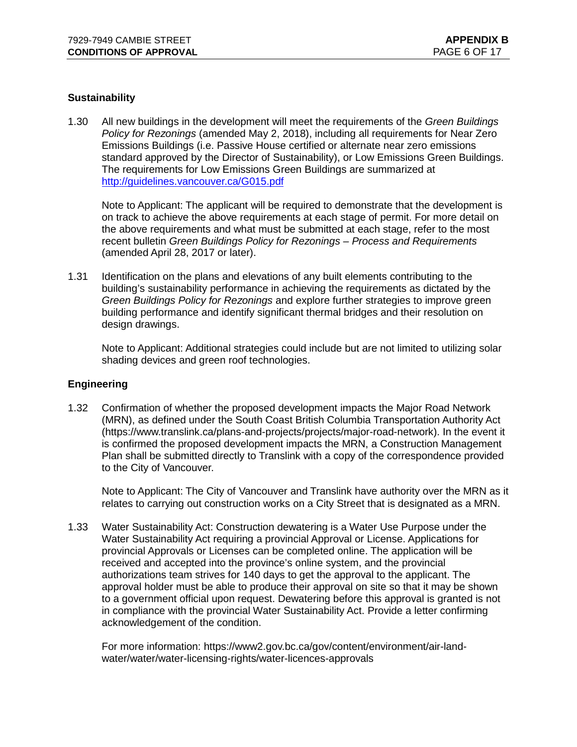### **Sustainability**

1.30 All new buildings in the development will meet the requirements of the *Green Buildings Policy for Rezonings* (amended May 2, 2018), including all requirements for Near Zero Emissions Buildings (i.e. Passive House certified or alternate near zero emissions standard approved by the Director of Sustainability), or Low Emissions Green Buildings. The requirements for Low Emissions Green Buildings are summarized at <http://guidelines.vancouver.ca/G015.pdf>

Note to Applicant: The applicant will be required to demonstrate that the development is on track to achieve the above requirements at each stage of permit. For more detail on the above requirements and what must be submitted at each stage, refer to the most recent bulletin *Green Buildings Policy for Rezonings – Process and Requirements* (amended April 28, 2017 or later).

1.31 Identification on the plans and elevations of any built elements contributing to the building's sustainability performance in achieving the requirements as dictated by the *Green Buildings Policy for Rezonings* and explore further strategies to improve green building performance and identify significant thermal bridges and their resolution on design drawings.

Note to Applicant: Additional strategies could include but are not limited to utilizing solar shading devices and green roof technologies.

### **Engineering**

1.32 Confirmation of whether the proposed development impacts the Major Road Network (MRN), as defined under the South Coast British Columbia Transportation Authority Act [\(https://www.translink.ca/plans-and-projects/projects/major-road-network\)](https://www.translink.ca/plans-and-projects/projects/major-road-network). In the event it is confirmed the proposed development impacts the MRN, a Construction Management Plan shall be submitted directly to Translink with a copy of the correspondence provided to the City of Vancouver.

Note to Applicant: The City of Vancouver and Translink have authority over the MRN as it relates to carrying out construction works on a City Street that is designated as a MRN.

1.33 Water Sustainability Act: Construction dewatering is a Water Use Purpose under the Water Sustainability Act requiring a provincial Approval or License. Applications for provincial Approvals or Licenses can be completed online. The application will be received and accepted into the province's online system, and the provincial authorizations team strives for 140 days to get the approval to the applicant. The approval holder must be able to produce their approval on site so that it may be shown to a government official upon request. Dewatering before this approval is granted is not in compliance with the provincial Water Sustainability Act. Provide a letter confirming acknowledgement of the condition.

For more information: [https://www2.gov.bc.ca/gov/content/environment/air-land](https://www2.gov.bc.ca/gov/content/environment/air-land-water/water/water-licensing-rights/water-licences-approvals)[water/water/water-licensing-rights/water-licences-approvals](https://www2.gov.bc.ca/gov/content/environment/air-land-water/water/water-licensing-rights/water-licences-approvals)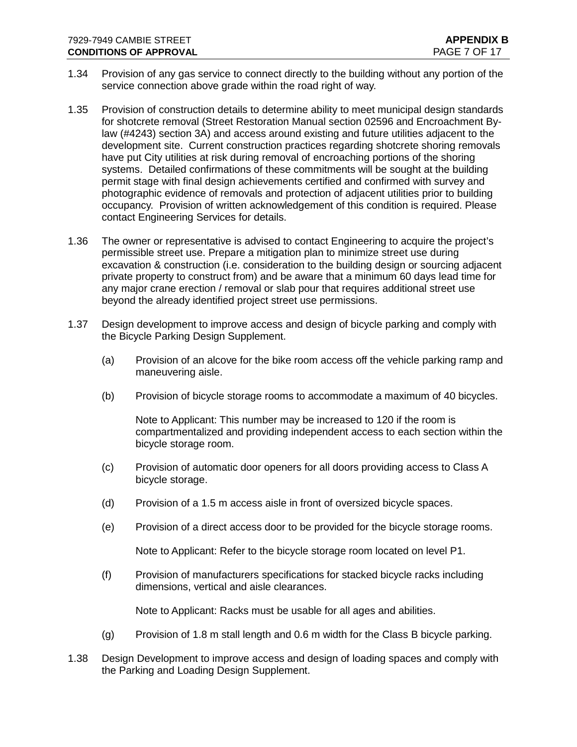- 1.34 Provision of any gas service to connect directly to the building without any portion of the service connection above grade within the road right of way.
- 1.35 Provision of construction details to determine ability to meet municipal design standards for shotcrete removal (Street Restoration Manual section 02596 and Encroachment Bylaw (#4243) section 3A) and access around existing and future utilities adjacent to the development site. Current construction practices regarding shotcrete shoring removals have put City utilities at risk during removal of encroaching portions of the shoring systems. Detailed confirmations of these commitments will be sought at the building permit stage with final design achievements certified and confirmed with survey and photographic evidence of removals and protection of adjacent utilities prior to building occupancy. Provision of written acknowledgement of this condition is required. Please contact Engineering Services for details.
- 1.36 The owner or representative is advised to contact Engineering to acquire the project's permissible street use. Prepare a mitigation plan to minimize street use during excavation & construction (i.e. consideration to the building design or sourcing adjacent private property to construct from) and be aware that a minimum 60 days lead time for any major crane erection / removal or slab pour that requires additional street use beyond the already identified project street use permissions.
- 1.37 Design development to improve access and design of bicycle parking and comply with the Bicycle Parking Design Supplement.
	- (a) Provision of an alcove for the bike room access off the vehicle parking ramp and maneuvering aisle.
	- (b) Provision of bicycle storage rooms to accommodate a maximum of 40 bicycles.

Note to Applicant: This number may be increased to 120 if the room is compartmentalized and providing independent access to each section within the bicycle storage room.

- (c) Provision of automatic door openers for all doors providing access to Class A bicycle storage.
- (d) Provision of a 1.5 m access aisle in front of oversized bicycle spaces.
- (e) Provision of a direct access door to be provided for the bicycle storage rooms.

Note to Applicant: Refer to the bicycle storage room located on level P1.

(f) Provision of manufacturers specifications for stacked bicycle racks including dimensions, vertical and aisle clearances.

Note to Applicant: Racks must be usable for all ages and abilities.

- (g) Provision of 1.8 m stall length and 0.6 m width for the Class B bicycle parking.
- 1.38 Design Development to improve access and design of loading spaces and comply with the Parking and Loading Design Supplement.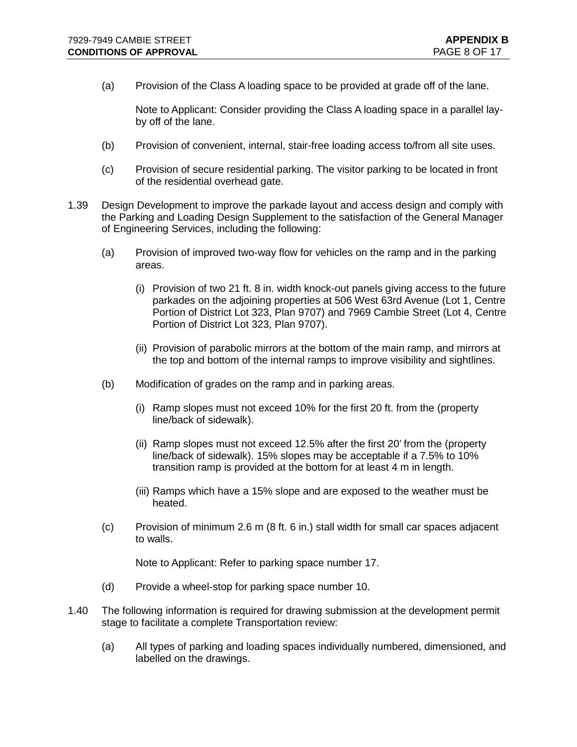(a) Provision of the Class A loading space to be provided at grade off of the lane.

Note to Applicant: Consider providing the Class A loading space in a parallel layby off of the lane.

- (b) Provision of convenient, internal, stair-free loading access to/from all site uses.
- (c) Provision of secure residential parking. The visitor parking to be located in front of the residential overhead gate.
- 1.39 Design Development to improve the parkade layout and access design and comply with the Parking and Loading Design Supplement to the satisfaction of the General Manager of Engineering Services, including the following:
	- (a) Provision of improved two-way flow for vehicles on the ramp and in the parking areas.
		- (i) Provision of two 21 ft. 8 in. width knock-out panels giving access to the future parkades on the adjoining properties at 506 West 63rd Avenue (Lot 1, Centre Portion of District Lot 323, Plan 9707) and 7969 Cambie Street (Lot 4, Centre Portion of District Lot 323, Plan 9707).
		- (ii) Provision of parabolic mirrors at the bottom of the main ramp, and mirrors at the top and bottom of the internal ramps to improve visibility and sightlines.
	- (b) Modification of grades on the ramp and in parking areas.
		- (i) Ramp slopes must not exceed 10% for the first 20 ft. from the (property line/back of sidewalk).
		- (ii) Ramp slopes must not exceed 12.5% after the first 20' from the (property line/back of sidewalk). 15% slopes may be acceptable if a 7.5% to 10% transition ramp is provided at the bottom for at least 4 m in length.
		- (iii) Ramps which have a 15% slope and are exposed to the weather must be heated.
	- (c) Provision of minimum 2.6 m (8 ft. 6 in.) stall width for small car spaces adjacent to walls.

Note to Applicant: Refer to parking space number 17.

- (d) Provide a wheel-stop for parking space number 10.
- 1.40 The following information is required for drawing submission at the development permit stage to facilitate a complete Transportation review:
	- (a) All types of parking and loading spaces individually numbered, dimensioned, and labelled on the drawings.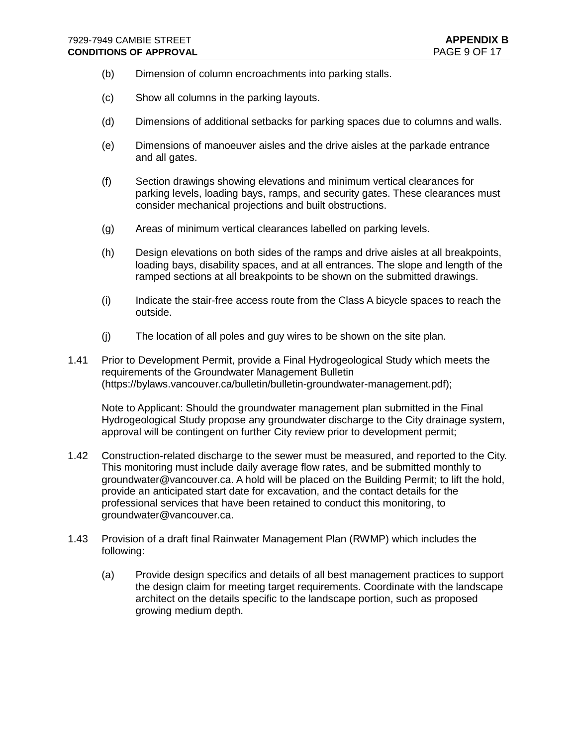- (b) Dimension of column encroachments into parking stalls.
- (c) Show all columns in the parking layouts.
- (d) Dimensions of additional setbacks for parking spaces due to columns and walls.
- (e) Dimensions of manoeuver aisles and the drive aisles at the parkade entrance and all gates.
- (f) Section drawings showing elevations and minimum vertical clearances for parking levels, loading bays, ramps, and security gates. These clearances must consider mechanical projections and built obstructions.
- (g) Areas of minimum vertical clearances labelled on parking levels.
- (h) Design elevations on both sides of the ramps and drive aisles at all breakpoints, loading bays, disability spaces, and at all entrances. The slope and length of the ramped sections at all breakpoints to be shown on the submitted drawings.
- (i) Indicate the stair-free access route from the Class A bicycle spaces to reach the outside.
- (j) The location of all poles and guy wires to be shown on the site plan.
- 1.41 Prior to Development Permit, provide a Final Hydrogeological Study which meets the requirements of the Groundwater Management Bulletin [\(https://bylaws.vancouver.ca/bulletin/bulletin-groundwater-management.pdf\)](https://bylaws.vancouver.ca/bulletin/bulletin-groundwater-management.pdf);

Note to Applicant: Should the groundwater management plan submitted in the Final Hydrogeological Study propose any groundwater discharge to the City drainage system, approval will be contingent on further City review prior to development permit;

- 1.42 Construction-related discharge to the sewer must be measured, and reported to the City. This monitoring must include daily average flow rates, and be submitted monthly to groundwater@vancouver.ca. A hold will be placed on the Building Permit; to lift the hold, provide an anticipated start date for excavation, and the contact details for the professional services that have been retained to conduct this monitoring, to groundwater@vancouver.ca.
- 1.43 Provision of a draft final Rainwater Management Plan (RWMP) which includes the following:
	- (a) Provide design specifics and details of all best management practices to support the design claim for meeting target requirements. Coordinate with the landscape architect on the details specific to the landscape portion, such as proposed growing medium depth.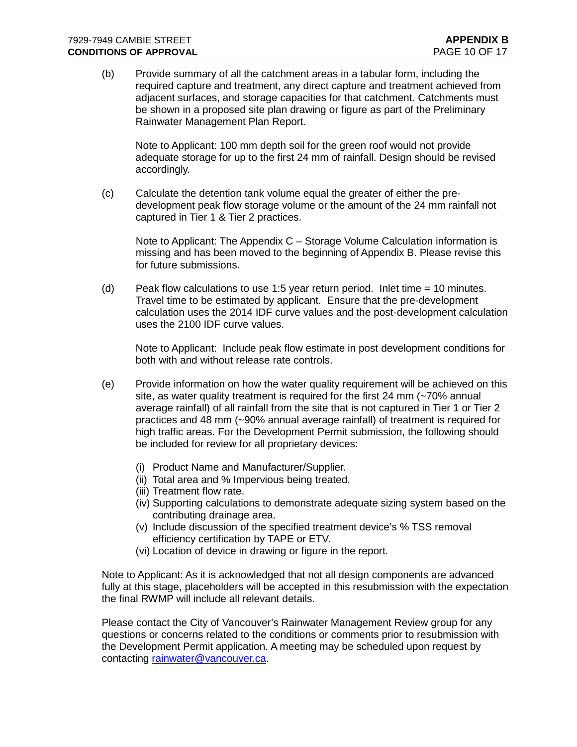(b) Provide summary of all the catchment areas in a tabular form, including the required capture and treatment, any direct capture and treatment achieved from adjacent surfaces, and storage capacities for that catchment. Catchments must be shown in a proposed site plan drawing or figure as part of the Preliminary Rainwater Management Plan Report.

Note to Applicant: 100 mm depth soil for the green roof would not provide adequate storage for up to the first 24 mm of rainfall. Design should be revised accordingly.

(c) Calculate the detention tank volume equal the greater of either the predevelopment peak flow storage volume or the amount of the 24 mm rainfall not captured in Tier 1 & Tier 2 practices.

Note to Applicant: The Appendix C – Storage Volume Calculation information is missing and has been moved to the beginning of Appendix B. Please revise this for future submissions.

(d) Peak flow calculations to use 1:5 year return period. Inlet time  $= 10$  minutes. Travel time to be estimated by applicant. Ensure that the pre-development calculation uses the 2014 IDF curve values and the post-development calculation uses the 2100 IDF curve values.

Note to Applicant: Include peak flow estimate in post development conditions for both with and without release rate controls.

- (e) Provide information on how the water quality requirement will be achieved on this site, as water quality treatment is required for the first 24 mm (~70% annual average rainfall) of all rainfall from the site that is not captured in Tier 1 or Tier 2 practices and 48 mm (~90% annual average rainfall) of treatment is required for high traffic areas. For the Development Permit submission, the following should be included for review for all proprietary devices:
	- (i) Product Name and Manufacturer/Supplier.
	- (ii) Total area and % Impervious being treated.
	- (iii) Treatment flow rate.
	- (iv) Supporting calculations to demonstrate adequate sizing system based on the contributing drainage area.
	- (v) Include discussion of the specified treatment device's % TSS removal efficiency certification by TAPE or ETV.
	- (vi) Location of device in drawing or figure in the report.

Note to Applicant: As it is acknowledged that not all design components are advanced fully at this stage, placeholders will be accepted in this resubmission with the expectation the final RWMP will include all relevant details.

Please contact the City of Vancouver's Rainwater Management Review group for any questions or concerns related to the conditions or comments prior to resubmission with the Development Permit application. A meeting may be scheduled upon request by contacting [rainwater@vancouver.ca.](mailto:rainwater@vancouver.ca)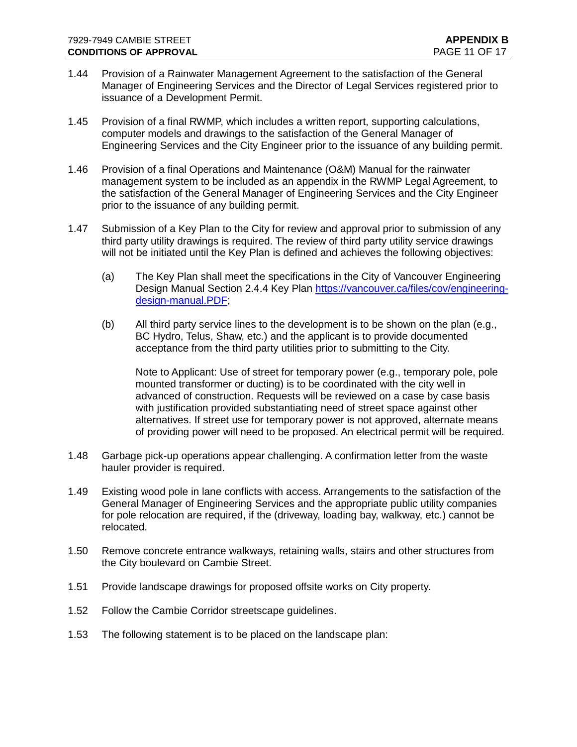- 1.44 Provision of a Rainwater Management Agreement to the satisfaction of the General Manager of Engineering Services and the Director of Legal Services registered prior to issuance of a Development Permit.
- 1.45 Provision of a final RWMP, which includes a written report, supporting calculations, computer models and drawings to the satisfaction of the General Manager of Engineering Services and the City Engineer prior to the issuance of any building permit.
- 1.46 Provision of a final Operations and Maintenance (O&M) Manual for the rainwater management system to be included as an appendix in the RWMP Legal Agreement, to the satisfaction of the General Manager of Engineering Services and the City Engineer prior to the issuance of any building permit.
- 1.47 Submission of a Key Plan to the City for review and approval prior to submission of any third party utility drawings is required. The review of third party utility service drawings will not be initiated until the Key Plan is defined and achieves the following objectives:
	- (a) The Key Plan shall meet the specifications in the City of Vancouver Engineering Design Manual Section 2.4.4 Key Plan [https://vancouver.ca/files/cov/engineering](https://vancouver.ca/files/cov/engineering-design-manual.PDF)[design-manual.PDF;](https://vancouver.ca/files/cov/engineering-design-manual.PDF)
	- (b) All third party service lines to the development is to be shown on the plan (e.g., BC Hydro, Telus, Shaw, etc.) and the applicant is to provide documented acceptance from the third party utilities prior to submitting to the City.

Note to Applicant: Use of street for temporary power (e.g., temporary pole, pole mounted transformer or ducting) is to be coordinated with the city well in advanced of construction. Requests will be reviewed on a case by case basis with justification provided substantiating need of street space against other alternatives. If street use for temporary power is not approved, alternate means of providing power will need to be proposed. An electrical permit will be required.

- 1.48 Garbage pick-up operations appear challenging. A confirmation letter from the waste hauler provider is required.
- 1.49 Existing wood pole in lane conflicts with access. Arrangements to the satisfaction of the General Manager of Engineering Services and the appropriate public utility companies for pole relocation are required, if the (driveway, loading bay, walkway, etc.) cannot be relocated.
- 1.50 Remove concrete entrance walkways, retaining walls, stairs and other structures from the City boulevard on Cambie Street.
- 1.51 Provide landscape drawings for proposed offsite works on City property.
- 1.52 Follow the Cambie Corridor streetscape guidelines.
- 1.53 The following statement is to be placed on the landscape plan: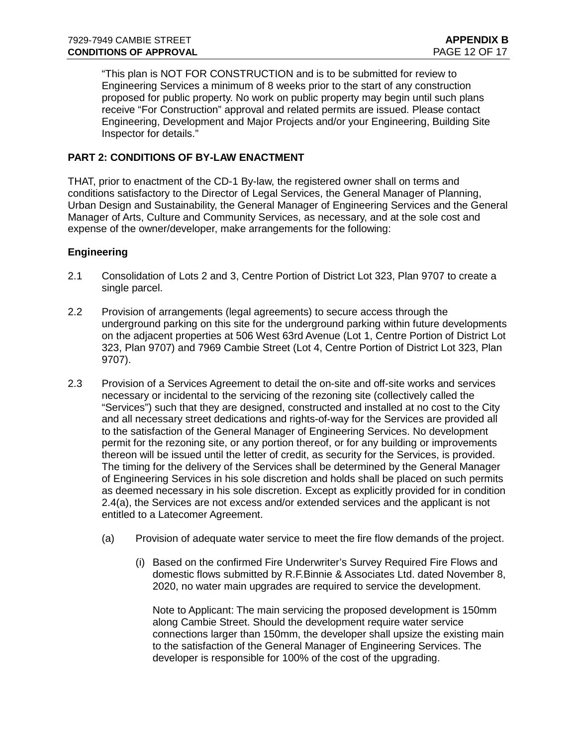"This plan is NOT FOR CONSTRUCTION and is to be submitted for review to Engineering Services a minimum of 8 weeks prior to the start of any construction proposed for public property. No work on public property may begin until such plans receive "For Construction" approval and related permits are issued. Please contact Engineering, Development and Major Projects and/or your Engineering, Building Site Inspector for details."

# **PART 2: CONDITIONS OF BY-LAW ENACTMENT**

THAT, prior to enactment of the CD-1 By-law, the registered owner shall on terms and conditions satisfactory to the Director of Legal Services, the General Manager of Planning, Urban Design and Sustainability, the General Manager of Engineering Services and the General Manager of Arts, Culture and Community Services, as necessary, and at the sole cost and expense of the owner/developer, make arrangements for the following:

# **Engineering**

- 2.1 Consolidation of Lots 2 and 3, Centre Portion of District Lot 323, Plan 9707 to create a single parcel.
- 2.2 Provision of arrangements (legal agreements) to secure access through the underground parking on this site for the underground parking within future developments on the adjacent properties at 506 West 63rd Avenue (Lot 1, Centre Portion of District Lot 323, Plan 9707) and 7969 Cambie Street (Lot 4, Centre Portion of District Lot 323, Plan 9707).
- 2.3 Provision of a Services Agreement to detail the on-site and off-site works and services necessary or incidental to the servicing of the rezoning site (collectively called the "Services") such that they are designed, constructed and installed at no cost to the City and all necessary street dedications and rights-of-way for the Services are provided all to the satisfaction of the General Manager of Engineering Services. No development permit for the rezoning site, or any portion thereof, or for any building or improvements thereon will be issued until the letter of credit, as security for the Services, is provided. The timing for the delivery of the Services shall be determined by the General Manager of Engineering Services in his sole discretion and holds shall be placed on such permits as deemed necessary in his sole discretion. Except as explicitly provided for in condition 2.4(a), the Services are not excess and/or extended services and the applicant is not entitled to a Latecomer Agreement.
	- (a) Provision of adequate water service to meet the fire flow demands of the project.
		- (i) Based on the confirmed Fire Underwriter's Survey Required Fire Flows and domestic flows submitted by R.F.Binnie & Associates Ltd. dated November 8, 2020, no water main upgrades are required to service the development.

Note to Applicant: The main servicing the proposed development is 150mm along Cambie Street. Should the development require water service connections larger than 150mm, the developer shall upsize the existing main to the satisfaction of the General Manager of Engineering Services. The developer is responsible for 100% of the cost of the upgrading.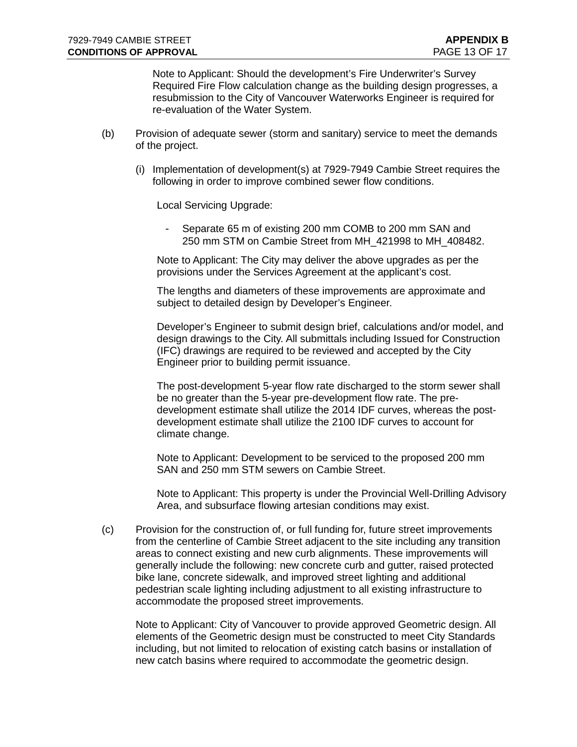Note to Applicant: Should the development's Fire Underwriter's Survey Required Fire Flow calculation change as the building design progresses, a resubmission to the City of Vancouver Waterworks Engineer is required for re-evaluation of the Water System.

- (b) Provision of adequate sewer (storm and sanitary) service to meet the demands of the project.
	- (i) Implementation of development(s) at 7929-7949 Cambie Street requires the following in order to improve combined sewer flow conditions.

Local Servicing Upgrade:

Separate 65 m of existing 200 mm COMB to 200 mm SAN and 250 mm STM on Cambie Street from MH\_421998 to MH\_408482.

Note to Applicant: The City may deliver the above upgrades as per the provisions under the Services Agreement at the applicant's cost.

The lengths and diameters of these improvements are approximate and subject to detailed design by Developer's Engineer.

Developer's Engineer to submit design brief, calculations and/or model, and design drawings to the City. All submittals including Issued for Construction (IFC) drawings are required to be reviewed and accepted by the City Engineer prior to building permit issuance.

The post-development 5-year flow rate discharged to the storm sewer shall be no greater than the 5-year pre-development flow rate. The predevelopment estimate shall utilize the 2014 IDF curves, whereas the postdevelopment estimate shall utilize the 2100 IDF curves to account for climate change.

Note to Applicant: Development to be serviced to the proposed 200 mm SAN and 250 mm STM sewers on Cambie Street.

Note to Applicant: This property is under the Provincial Well-Drilling Advisory Area, and subsurface flowing artesian conditions may exist.

(c) Provision for the construction of, or full funding for, future street improvements from the centerline of Cambie Street adjacent to the site including any transition areas to connect existing and new curb alignments. These improvements will generally include the following: new concrete curb and gutter, raised protected bike lane, concrete sidewalk, and improved street lighting and additional pedestrian scale lighting including adjustment to all existing infrastructure to accommodate the proposed street improvements.

Note to Applicant: City of Vancouver to provide approved Geometric design. All elements of the Geometric design must be constructed to meet City Standards including, but not limited to relocation of existing catch basins or installation of new catch basins where required to accommodate the geometric design.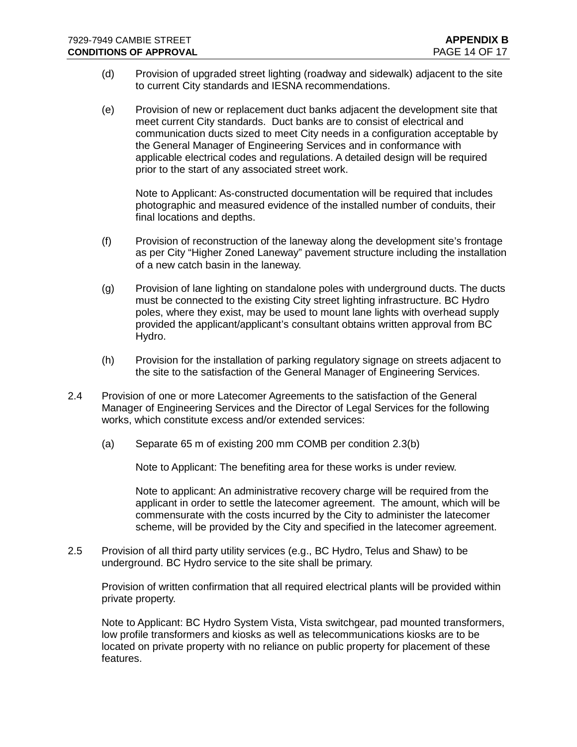- (d) Provision of upgraded street lighting (roadway and sidewalk) adjacent to the site to current City standards and IESNA recommendations.
- (e) Provision of new or replacement duct banks adjacent the development site that meet current City standards. Duct banks are to consist of electrical and communication ducts sized to meet City needs in a configuration acceptable by the General Manager of Engineering Services and in conformance with applicable electrical codes and regulations. A detailed design will be required prior to the start of any associated street work.

Note to Applicant: As-constructed documentation will be required that includes photographic and measured evidence of the installed number of conduits, their final locations and depths.

- (f) Provision of reconstruction of the laneway along the development site's frontage as per City "Higher Zoned Laneway" pavement structure including the installation of a new catch basin in the laneway.
- (g) Provision of lane lighting on standalone poles with underground ducts. The ducts must be connected to the existing City street lighting infrastructure. BC Hydro poles, where they exist, may be used to mount lane lights with overhead supply provided the applicant/applicant's consultant obtains written approval from BC Hydro.
- (h) Provision for the installation of parking regulatory signage on streets adjacent to the site to the satisfaction of the General Manager of Engineering Services.
- 2.4 Provision of one or more Latecomer Agreements to the satisfaction of the General Manager of Engineering Services and the Director of Legal Services for the following works, which constitute excess and/or extended services:
	- (a) Separate 65 m of existing 200 mm COMB per condition 2.3(b)

Note to Applicant: The benefiting area for these works is under review.

Note to applicant: An administrative recovery charge will be required from the applicant in order to settle the latecomer agreement. The amount, which will be commensurate with the costs incurred by the City to administer the latecomer scheme, will be provided by the City and specified in the latecomer agreement.

2.5 Provision of all third party utility services (e.g., BC Hydro, Telus and Shaw) to be underground. BC Hydro service to the site shall be primary.

Provision of written confirmation that all required electrical plants will be provided within private property.

Note to Applicant: BC Hydro System Vista, Vista switchgear, pad mounted transformers, low profile transformers and kiosks as well as telecommunications kiosks are to be located on private property with no reliance on public property for placement of these features.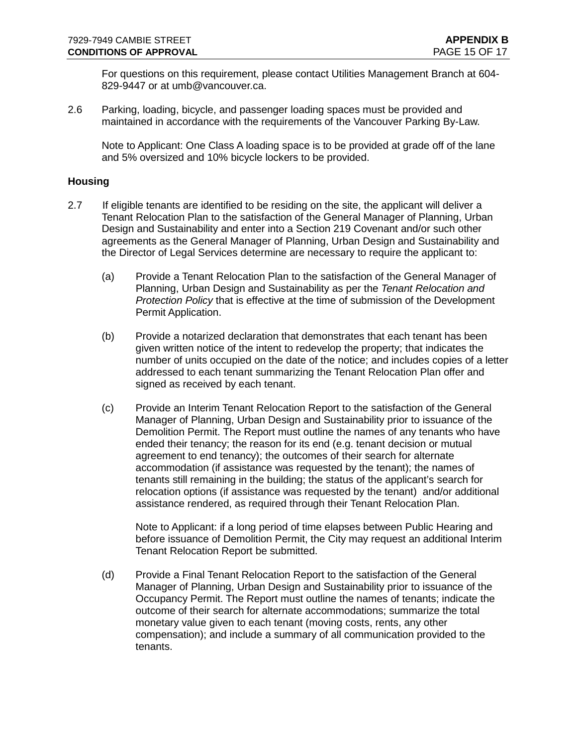For questions on this requirement, please contact Utilities Management Branch at 604- 829-9447 or at umb@vancouver.ca.

2.6 Parking, loading, bicycle, and passenger loading spaces must be provided and maintained in accordance with the requirements of the Vancouver Parking By-Law.

Note to Applicant: One Class A loading space is to be provided at grade off of the lane and 5% oversized and 10% bicycle lockers to be provided.

### **Housing**

- 2.7 If eligible tenants are identified to be residing on the site, the applicant will deliver a Tenant Relocation Plan to the satisfaction of the General Manager of Planning, Urban Design and Sustainability and enter into a Section 219 Covenant and/or such other agreements as the General Manager of Planning, Urban Design and Sustainability and the Director of Legal Services determine are necessary to require the applicant to:
	- (a) Provide a Tenant Relocation Plan to the satisfaction of the General Manager of Planning, Urban Design and Sustainability as per the *Tenant Relocation and Protection Policy* that is effective at the time of submission of the Development Permit Application.
	- (b) Provide a notarized declaration that demonstrates that each tenant has been given written notice of the intent to redevelop the property; that indicates the number of units occupied on the date of the notice; and includes copies of a letter addressed to each tenant summarizing the Tenant Relocation Plan offer and signed as received by each tenant.
	- (c) Provide an Interim Tenant Relocation Report to the satisfaction of the General Manager of Planning, Urban Design and Sustainability prior to issuance of the Demolition Permit. The Report must outline the names of any tenants who have ended their tenancy; the reason for its end (e.g. tenant decision or mutual agreement to end tenancy); the outcomes of their search for alternate accommodation (if assistance was requested by the tenant); the names of tenants still remaining in the building; the status of the applicant's search for relocation options (if assistance was requested by the tenant) and/or additional assistance rendered, as required through their Tenant Relocation Plan.

Note to Applicant: if a long period of time elapses between Public Hearing and before issuance of Demolition Permit, the City may request an additional Interim Tenant Relocation Report be submitted.

(d) Provide a Final Tenant Relocation Report to the satisfaction of the General Manager of Planning, Urban Design and Sustainability prior to issuance of the Occupancy Permit. The Report must outline the names of tenants; indicate the outcome of their search for alternate accommodations; summarize the total monetary value given to each tenant (moving costs, rents, any other compensation); and include a summary of all communication provided to the tenants.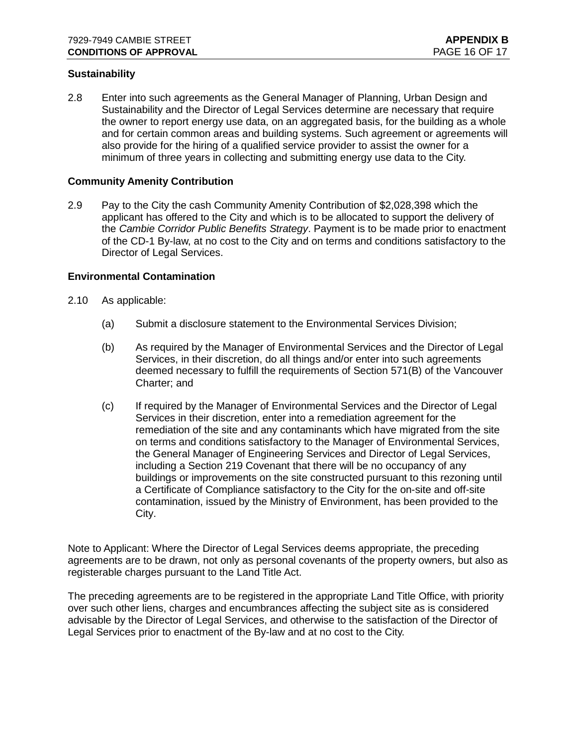### **Sustainability**

2.8 Enter into such agreements as the General Manager of Planning, Urban Design and Sustainability and the Director of Legal Services determine are necessary that require the owner to report energy use data, on an aggregated basis, for the building as a whole and for certain common areas and building systems. Such agreement or agreements will also provide for the hiring of a qualified service provider to assist the owner for a minimum of three years in collecting and submitting energy use data to the City.

#### **Community Amenity Contribution**

2.9 Pay to the City the cash Community Amenity Contribution of \$2,028,398 which the applicant has offered to the City and which is to be allocated to support the delivery of the *Cambie Corridor Public Benefits Strategy*. Payment is to be made prior to enactment of the CD-1 By-law, at no cost to the City and on terms and conditions satisfactory to the Director of Legal Services.

### **Environmental Contamination**

- 2.10 As applicable:
	- (a) Submit a disclosure statement to the Environmental Services Division;
	- (b) As required by the Manager of Environmental Services and the Director of Legal Services, in their discretion, do all things and/or enter into such agreements deemed necessary to fulfill the requirements of Section 571(B) of the Vancouver Charter; and
	- (c) If required by the Manager of Environmental Services and the Director of Legal Services in their discretion, enter into a remediation agreement for the remediation of the site and any contaminants which have migrated from the site on terms and conditions satisfactory to the Manager of Environmental Services, the General Manager of Engineering Services and Director of Legal Services, including a Section 219 Covenant that there will be no occupancy of any buildings or improvements on the site constructed pursuant to this rezoning until a Certificate of Compliance satisfactory to the City for the on-site and off-site contamination, issued by the Ministry of Environment, has been provided to the City.

Note to Applicant: Where the Director of Legal Services deems appropriate, the preceding agreements are to be drawn, not only as personal covenants of the property owners, but also as registerable charges pursuant to the Land Title Act.

The preceding agreements are to be registered in the appropriate Land Title Office, with priority over such other liens, charges and encumbrances affecting the subject site as is considered advisable by the Director of Legal Services, and otherwise to the satisfaction of the Director of Legal Services prior to enactment of the By-law and at no cost to the City.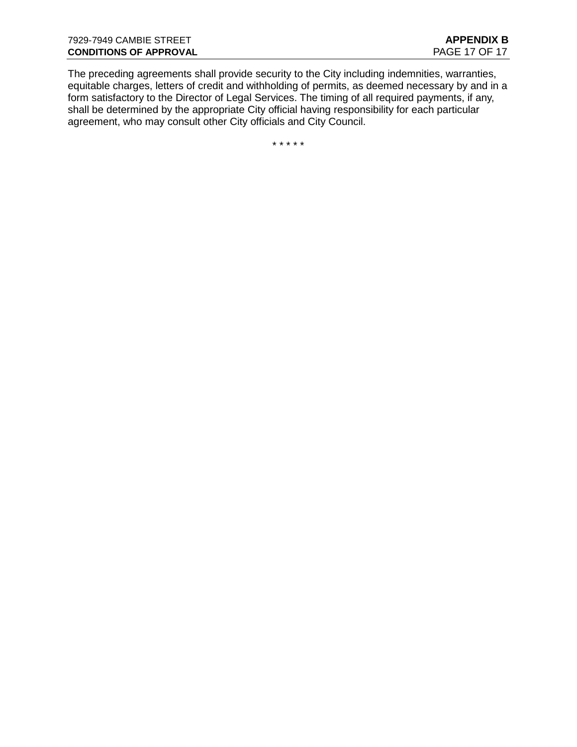The preceding agreements shall provide security to the City including indemnities, warranties, equitable charges, letters of credit and withholding of permits, as deemed necessary by and in a form satisfactory to the Director of Legal Services. The timing of all required payments, if any, shall be determined by the appropriate City official having responsibility for each particular agreement, who may consult other City officials and City Council.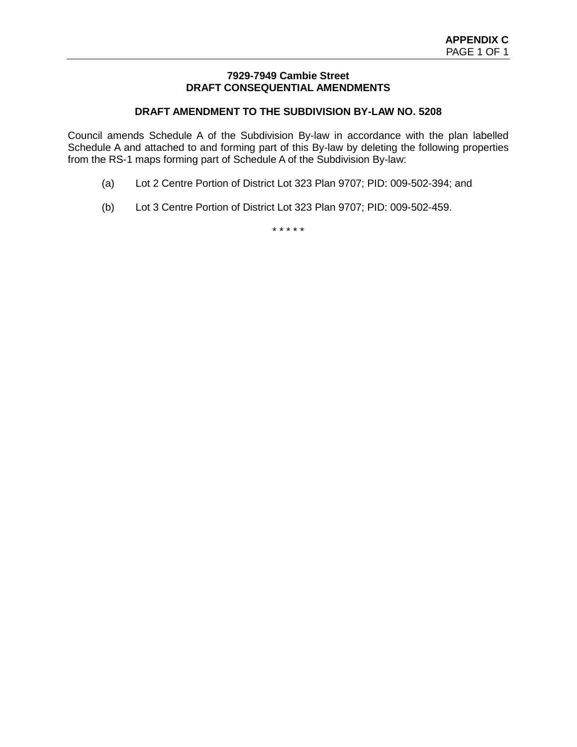### **7929-7949 Cambie Street DRAFT CONSEQUENTIAL AMENDMENTS**

# **DRAFT AMENDMENT TO THE SUBDIVISION BY-LAW NO. 5208**

Council amends Schedule A of the Subdivision By-law in accordance with the plan labelled Schedule A and attached to and forming part of this By-law by deleting the following properties from the RS-1 maps forming part of Schedule A of the Subdivision By-law:

- (a) Lot 2 Centre Portion of District Lot 323 Plan 9707; PID: 009-502-394; and
- (b) Lot 3 Centre Portion of District Lot 323 Plan 9707; PID: 009-502-459.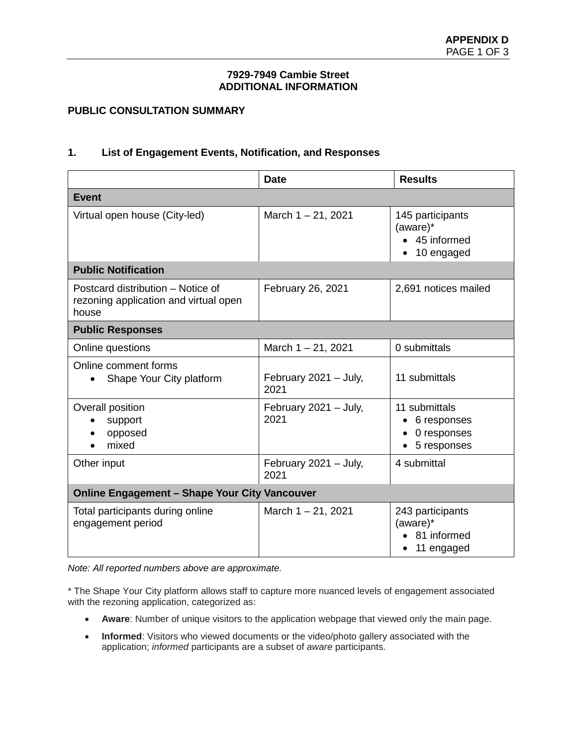### **7929-7949 Cambie Street ADDITIONAL INFORMATION**

# **PUBLIC CONSULTATION SUMMARY**

### **1. List of Engagement Events, Notification, and Responses**

|                                                                                     | <b>Date</b>                   | <b>Results</b>                                              |  |  |
|-------------------------------------------------------------------------------------|-------------------------------|-------------------------------------------------------------|--|--|
| <b>Event</b>                                                                        |                               |                                                             |  |  |
| Virtual open house (City-led)                                                       | March $1 - 21$ , 2021         | 145 participants<br>(aware)*<br>• 45 informed<br>10 engaged |  |  |
| <b>Public Notification</b>                                                          |                               |                                                             |  |  |
| Postcard distribution – Notice of<br>rezoning application and virtual open<br>house | February 26, 2021             | 2,691 notices mailed                                        |  |  |
| <b>Public Responses</b>                                                             |                               |                                                             |  |  |
| Online questions                                                                    | March $1 - 21$ , 2021         | 0 submittals                                                |  |  |
| Online comment forms<br>Shape Your City platform                                    | February 2021 - July,<br>2021 | 11 submittals                                               |  |  |
| Overall position<br>support<br>opposed<br>mixed                                     | February 2021 - July,<br>2021 | 11 submittals<br>6 responses<br>0 responses<br>5 responses  |  |  |
| Other input                                                                         | February 2021 - July,<br>2021 | 4 submittal                                                 |  |  |
| <b>Online Engagement - Shape Your City Vancouver</b>                                |                               |                                                             |  |  |
| Total participants during online<br>engagement period                               | March $1 - 21$ , 2021         | 243 participants<br>(aware)*<br>81 informed<br>11 engaged   |  |  |

*Note: All reported numbers above are approximate.*

\* The Shape Your City platform allows staff to capture more nuanced levels of engagement associated with the rezoning application, categorized as:

- **Aware**: Number of unique visitors to the application webpage that viewed only the main page.
- **Informed**: Visitors who viewed documents or the video/photo gallery associated with the application; *informed* participants are a subset of *aware* participants.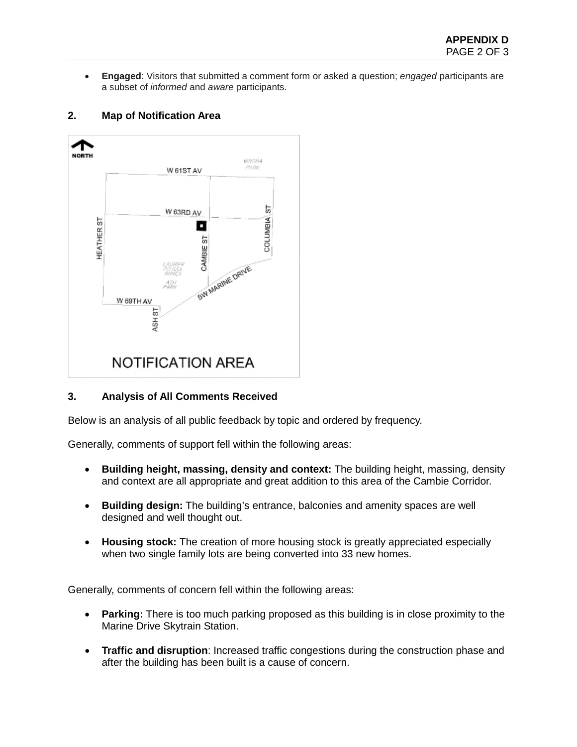• **Engaged**: Visitors that submitted a comment form or asked a question; *engaged* participants are a subset of *informed* and *aware* participants.

# **2. Map of Notification Area**



# **3. Analysis of All Comments Received**

Below is an analysis of all public feedback by topic and ordered by frequency.

Generally, comments of support fell within the following areas:

- **Building height, massing, density and context:** The building height, massing, density and context are all appropriate and great addition to this area of the Cambie Corridor.
- **Building design:** The building's entrance, balconies and amenity spaces are well designed and well thought out.
- **Housing stock:** The creation of more housing stock is greatly appreciated especially when two single family lots are being converted into 33 new homes.

Generally, comments of concern fell within the following areas:

- **Parking:** There is too much parking proposed as this building is in close proximity to the Marine Drive Skytrain Station.
- **Traffic and disruption**: Increased traffic congestions during the construction phase and after the building has been built is a cause of concern.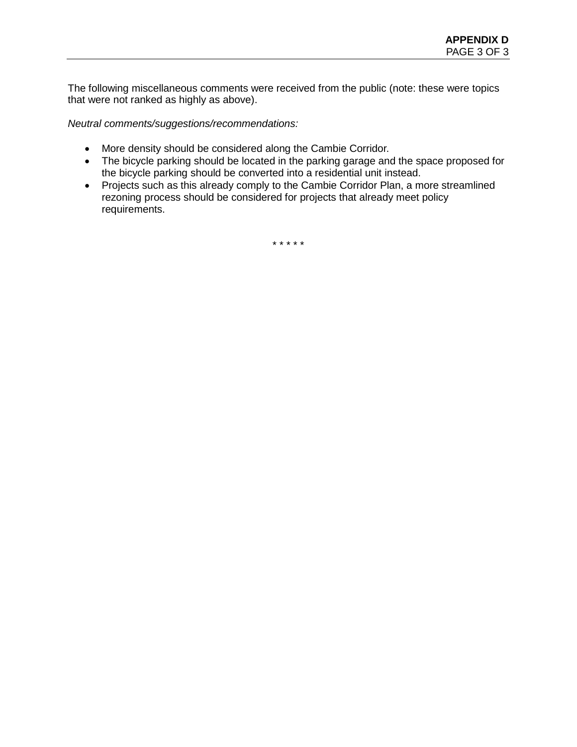The following miscellaneous comments were received from the public (note: these were topics that were not ranked as highly as above).

*Neutral comments/suggestions/recommendations:*

- More density should be considered along the Cambie Corridor.
- The bicycle parking should be located in the parking garage and the space proposed for the bicycle parking should be converted into a residential unit instead.
- Projects such as this already comply to the Cambie Corridor Plan, a more streamlined rezoning process should be considered for projects that already meet policy requirements.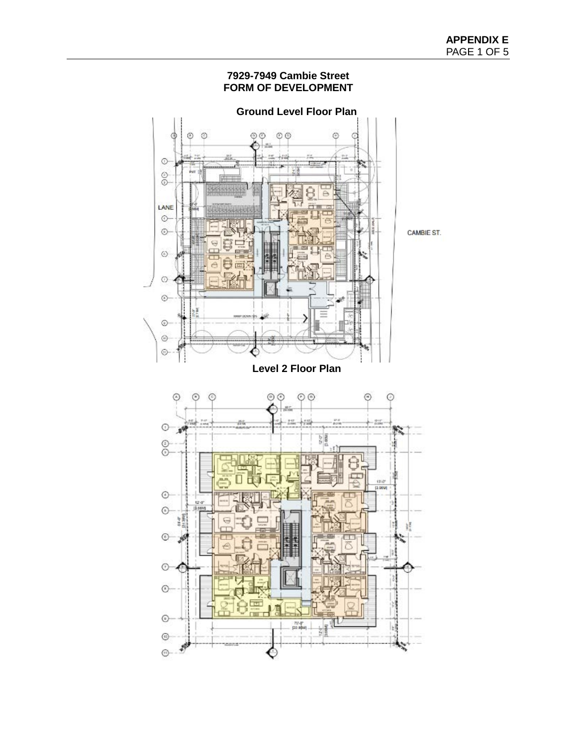# **7929-7949 Cambie Street FORM OF DEVELOPMENT**

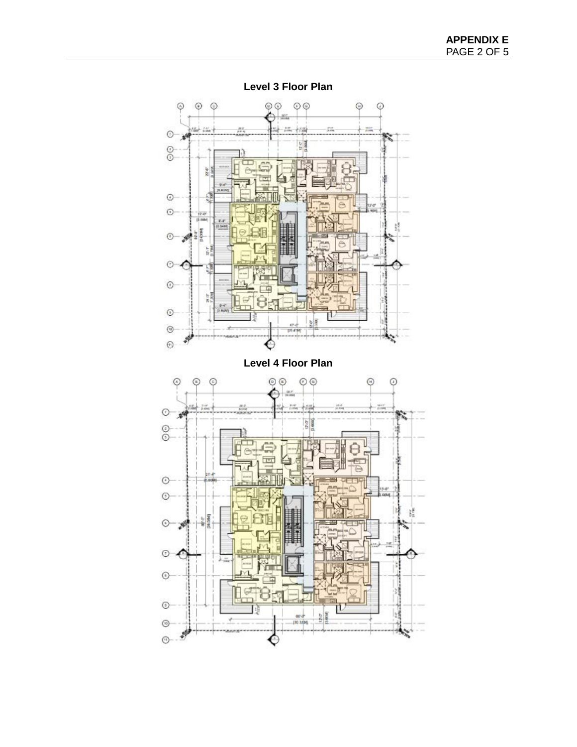

**Level 3 Floor Plan**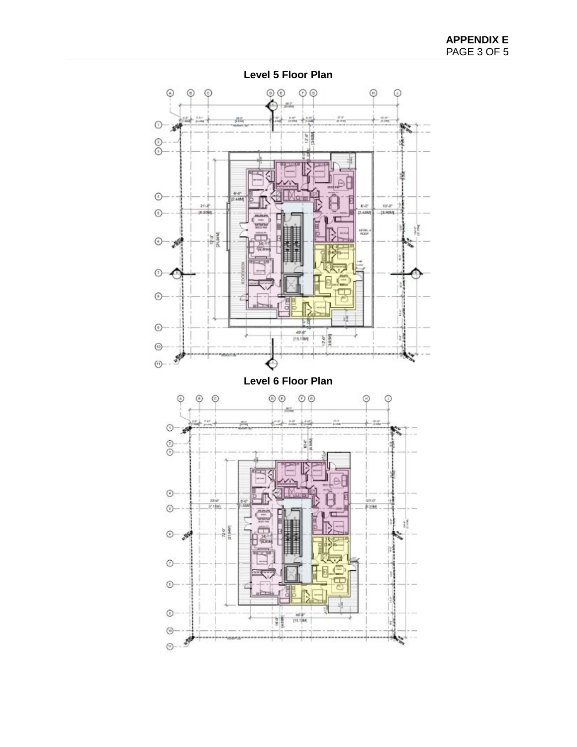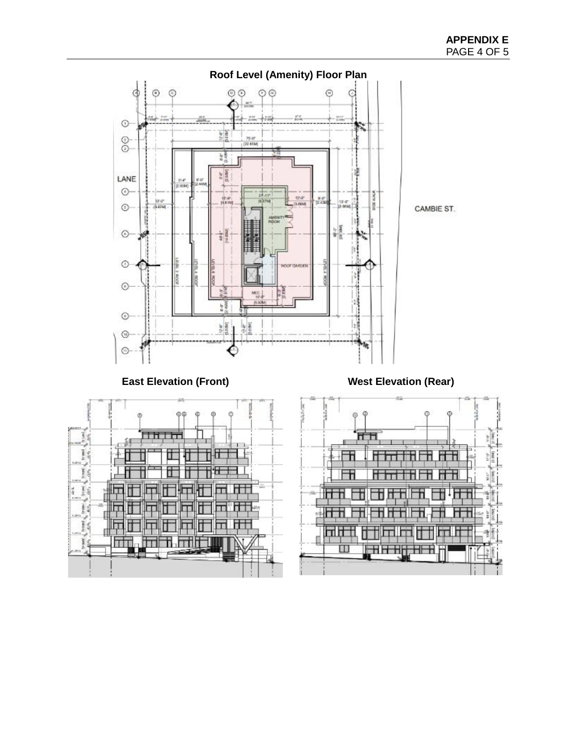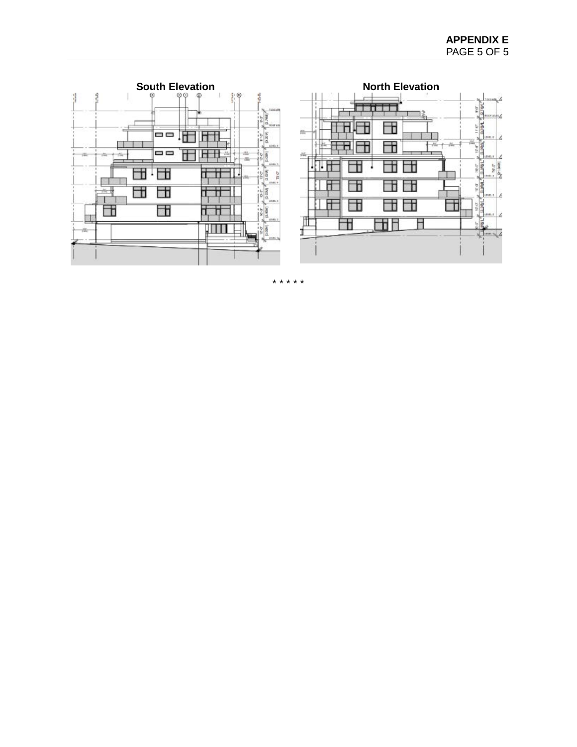$\begin{picture}(120,140)(-0.00,0){\line(1,0){100}} \put(120,140){\line(1,0){100}} \put(120,140){\line(1,0){100}} \put(120,140){\line(1,0){100}} \put(120,140){\line(1,0){100}} \put(120,140){\line(1,0){100}} \put(120,140){\line(1,0){100}} \put(120,140){\line(1,0){100}} \put(120,140){\line(1,0){100}} \put(120,140){\$ 

 $\begin{array}{c|c|c|c} \hline 1 & 0 & 0 \\ \hline 1 & 0 & 0 \\ \hline 1 & 0 & 0 \\ \hline 0 & 0 & 0 \\ \hline 0 & 0 & 0 \\ \hline 0 & 0 & 0 \\ \hline \end{array}$ 

 $= 6$ 

 $\begin{picture}(130,10) \put(0,0){\line(1,0){15}} \put(15,0){\line(1,0){15}} \put(15,0){\line(1,0){15}} \put(15,0){\line(1,0){15}} \put(15,0){\line(1,0){15}} \put(15,0){\line(1,0){15}} \put(15,0){\line(1,0){15}} \put(15,0){\line(1,0){15}} \put(15,0){\line(1,0){15}} \put(15,0){\line(1,0){15}} \put(15,0){\line(1,0){15}} \put(15,0){\line($ 

10.07

П

ä

 $\Box$ 

Ħ

28

 $\frac{1}{\sqrt{2}}$   $\frac{1}{\sqrt{2}}$   $\frac{1}{\sqrt{2}}$ 

П

団

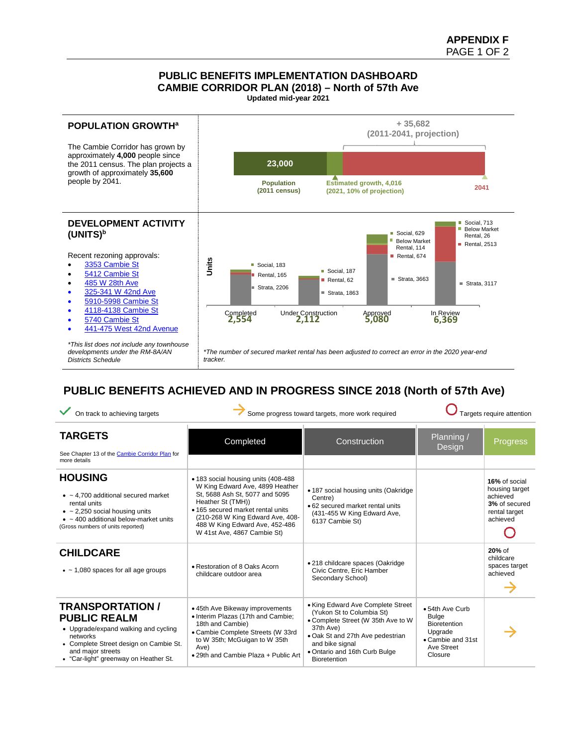# **PUBLIC BENEFITS IMPLEMENTATION DASHBOARD CAMBIE CORRIDOR PLAN (2018) – North of 57th Ave**

**Updated mid-year 2021**



# **PUBLIC BENEFITS ACHIEVED AND IN PROGRESS SINCE 2018 (North of 57th Ave)**

| On track to achieving targets                                                                                                                                                                                 | Some progress toward targets, more work required                                                                                                                                                                                                                         | Targets require attention                                                                                                                                                                                                 |                                                                                                                 |                                                                                           |
|---------------------------------------------------------------------------------------------------------------------------------------------------------------------------------------------------------------|--------------------------------------------------------------------------------------------------------------------------------------------------------------------------------------------------------------------------------------------------------------------------|---------------------------------------------------------------------------------------------------------------------------------------------------------------------------------------------------------------------------|-----------------------------------------------------------------------------------------------------------------|-------------------------------------------------------------------------------------------|
| <b>TARGETS</b><br>See Chapter 13 of the Cambie Corridor Plan for                                                                                                                                              | Completed                                                                                                                                                                                                                                                                | Construction                                                                                                                                                                                                              | Planning /<br>Design                                                                                            | <b>Progress</b>                                                                           |
| more details                                                                                                                                                                                                  |                                                                                                                                                                                                                                                                          |                                                                                                                                                                                                                           |                                                                                                                 |                                                                                           |
| <b>HOUSING</b><br>$\bullet$ ~ 4,700 additional secured market<br>rental units<br>$\bullet$ ~ 2,250 social housing units<br>$\bullet$ ~ 400 additional below-market units<br>(Gross numbers of units reported) | • 183 social housing units (408-488)<br>W King Edward Ave, 4899 Heather<br>St, 5688 Ash St, 5077 and 5095<br>Heather St (TMH))<br>• 165 secured market rental units<br>(210-268 W King Edward Ave, 408-<br>488 W King Edward Ave, 452-486<br>W 41st Ave, 4867 Cambie St) | • 187 social housing units (Oakridge<br>Centre)<br>• 62 secured market rental units<br>(431-455 W King Edward Ave,<br>6137 Cambie St)                                                                                     |                                                                                                                 | 16% of social<br>housing target<br>achieved<br>3% of secured<br>rental target<br>achieved |
| <b>CHILDCARE</b><br>$\bullet$ ~ 1,080 spaces for all age groups                                                                                                                                               | • Restoration of 8 Oaks Acorn<br>childcare outdoor area                                                                                                                                                                                                                  | • 218 childcare spaces (Oakridge<br>Civic Centre, Eric Hamber<br>Secondary School)                                                                                                                                        |                                                                                                                 | $20%$ of<br>childcare<br>spaces target<br>achieved                                        |
| <b>TRANSPORTATION /</b><br><b>PUBLIC REALM</b><br>• Upgrade/expand walking and cycling<br>networks<br>• Complete Street design on Cambie St.<br>and major streets<br>• "Car-light" greenway on Heather St.    | • 45th Ave Bikeway improvements<br>• Interim Plazas (17th and Cambie;<br>18th and Cambie)<br>• Cambie Complete Streets (W 33rd<br>to W 35th; McGuigan to W 35th<br>Ave)<br>. 29th and Cambie Plaza + Public Art                                                          | • King Edward Ave Complete Street<br>(Yukon St to Columbia St)<br>• Complete Street (W 35th Ave to W<br>37th Ave)<br>• Oak St and 27th Ave pedestrian<br>and bike signal<br>. Ontario and 16th Curb Bulge<br>Bioretention | • 54th Ave Curb<br><b>Bulge</b><br><b>Bioretention</b><br>Upgrade<br>• Cambie and 31st<br>Ave Street<br>Closure |                                                                                           |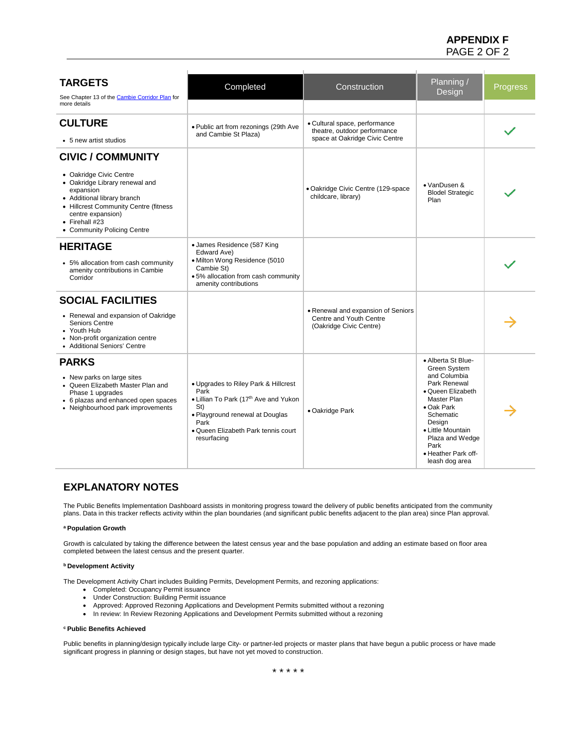# **APPENDIX F** PAGE 2 OF 2

| <b>TARGETS</b><br>See Chapter 13 of the Cambie Corridor Plan for<br>more details                                                                                                                                             | Completed                                                                                                                                                                                     | Construction                                                                             | Planning /<br>Design                                                                                                                                                                                                                        | <b>Progress</b> |
|------------------------------------------------------------------------------------------------------------------------------------------------------------------------------------------------------------------------------|-----------------------------------------------------------------------------------------------------------------------------------------------------------------------------------------------|------------------------------------------------------------------------------------------|---------------------------------------------------------------------------------------------------------------------------------------------------------------------------------------------------------------------------------------------|-----------------|
|                                                                                                                                                                                                                              |                                                                                                                                                                                               |                                                                                          |                                                                                                                                                                                                                                             |                 |
| <b>CULTURE</b>                                                                                                                                                                                                               | . Public art from rezonings (29th Ave<br>and Cambie St Plaza)                                                                                                                                 | · Cultural space, performance<br>theatre, outdoor performance                            |                                                                                                                                                                                                                                             |                 |
| • 5 new artist studios                                                                                                                                                                                                       |                                                                                                                                                                                               | space at Oakridge Civic Centre                                                           |                                                                                                                                                                                                                                             |                 |
| <b>CIVIC / COMMUNITY</b>                                                                                                                                                                                                     |                                                                                                                                                                                               |                                                                                          |                                                                                                                                                                                                                                             |                 |
| • Oakridge Civic Centre<br>• Oakridge Library renewal and<br>expansion<br>• Additional library branch<br>• Hillcrest Community Centre (fitness<br>centre expansion)<br>$\bullet$ Firehall #23<br>• Community Policing Centre |                                                                                                                                                                                               | · Oakridge Civic Centre (129-space<br>childcare, library)                                | • VanDusen &<br><b>Blodel Strategic</b><br>Plan                                                                                                                                                                                             |                 |
| <b>HERITAGE</b><br>• 5% allocation from cash community<br>amenity contributions in Cambie<br>Corridor                                                                                                                        | • James Residence (587 King<br>Edward Ave)<br>· Milton Wong Residence (5010<br>Cambie St)<br>.5% allocation from cash community<br>amenity contributions                                      |                                                                                          |                                                                                                                                                                                                                                             |                 |
| <b>SOCIAL FACILITIES</b><br>• Renewal and expansion of Oakridge<br><b>Seniors Centre</b><br>• Youth Hub<br>Non-profit organization centre<br>• Additional Seniors' Centre                                                    |                                                                                                                                                                                               | • Renewal and expansion of Seniors<br>Centre and Youth Centre<br>(Oakridge Civic Centre) |                                                                                                                                                                                                                                             |                 |
| <b>PARKS</b><br>• New parks on large sites<br>• Queen Elizabeth Master Plan and<br>Phase 1 upgrades<br>• 6 plazas and enhanced open spaces<br>• Neighbourhood park improvements                                              | • Upgrades to Riley Park & Hillcrest<br>Park<br>• Lillian To Park (17th Ave and Yukon<br>St)<br>• Playground renewal at Douglas<br>Park<br>. Queen Elizabeth Park tennis court<br>resurfacing | • Oakridge Park                                                                          | • Alberta St Blue-<br><b>Green System</b><br>and Columbia<br>Park Renewal<br>• Queen Elizabeth<br>Master Plan<br>• Oak Park<br>Schematic<br>Design<br>• Little Mountain<br>Plaza and Wedge<br>Park<br>· Heather Park off-<br>leash dog area |                 |

# **EXPLANATORY NOTES**

The Public Benefits Implementation Dashboard assists in monitoring progress toward the delivery of public benefits anticipated from the community plans. Data in this tracker reflects activity within the plan boundaries (and significant public benefits adjacent to the plan area) since Plan approval.

#### **a Population Growth**

Growth is calculated by taking the difference between the latest census year and the base population and adding an estimate based on floor area completed between the latest census and the present quarter.

#### **b Development Activity**

The Development Activity Chart includes Building Permits, Development Permits, and rezoning applications:

- Completed: Occupancy Permit issuance
- Under Construction: Building Permit issuance
- Approved: Approved Rezoning Applications and Development Permits submitted without a rezoning
- In review: In Review Rezoning Applications and Development Permits submitted without a rezoning

#### **c Public Benefits Achieved**

Public benefits in planning/design typically include large City- or partner-led projects or master plans that have begun a public process or have made significant progress in planning or design stages, but have not yet moved to construction.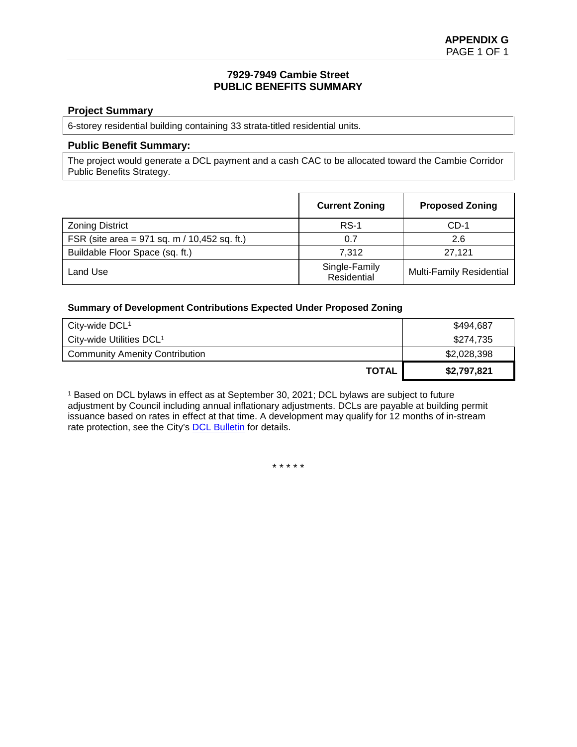#### **7929-7949 Cambie Street PUBLIC BENEFITS SUMMARY**

### **Project Summary**

6-storey residential building containing 33 strata-titled residential units.

#### **Public Benefit Summary:**

The project would generate a DCL payment and a cash CAC to be allocated toward the Cambie Corridor Public Benefits Strategy.

|                                                  | <b>Current Zoning</b>        | <b>Proposed Zoning</b>          |
|--------------------------------------------------|------------------------------|---------------------------------|
| <b>Zoning District</b>                           | $RS-1$                       | $CD-1$                          |
| FSR (site area = $971$ sq. m / $10,452$ sq. ft.) | 0.7                          | 2.6                             |
| Buildable Floor Space (sq. ft.)                  | 7.312                        | 27.121                          |
| Land Use                                         | Single-Family<br>Residential | <b>Multi-Family Residential</b> |

#### **Summary of Development Contributions Expected Under Proposed Zoning**

| City-wide $DCL1$                      | \$494,687   |
|---------------------------------------|-------------|
| City-wide Utilities DCL <sup>1</sup>  | \$274,735   |
| <b>Community Amenity Contribution</b> | \$2,028,398 |
| TOTAL                                 | \$2,797,821 |

<sup>1</sup> Based on DCL bylaws in effect as at September 30, 2021; DCL bylaws are subject to future adjustment by Council including annual inflationary adjustments. DCLs are payable at building permit issuance based on rates in effect at that time. A development may qualify for 12 months of in-stream rate protection, see the City's [DCL Bulletin](http://vancouver.ca/files/cov/Development-Cost-Levies-Bulletin.pdf) for details.